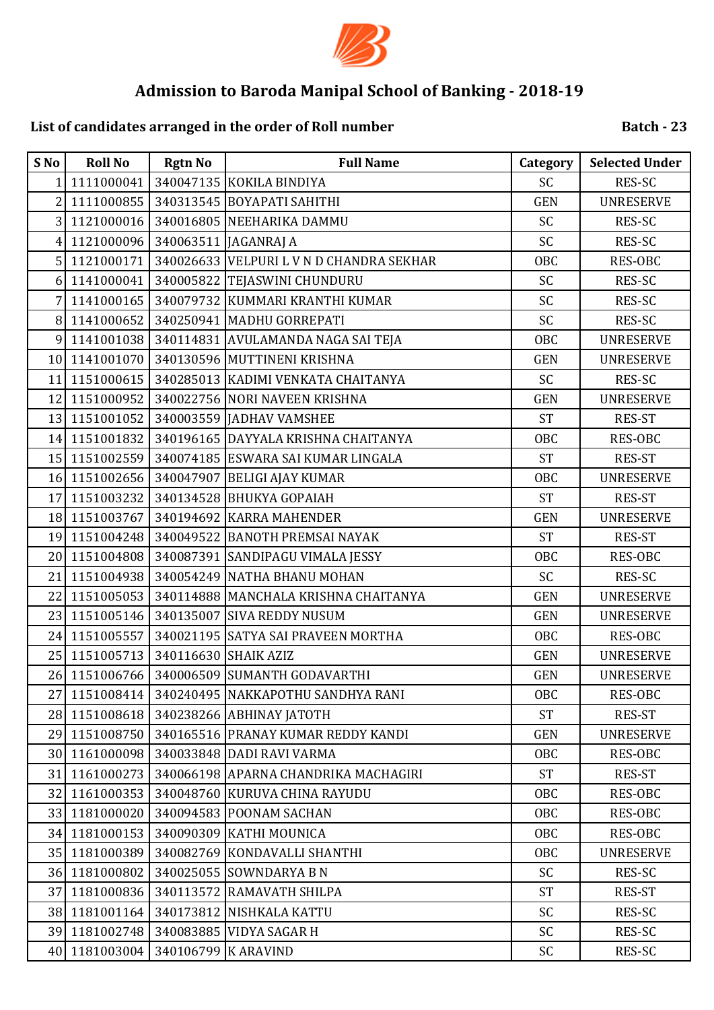

# **List of candidates arranged in the order of Roll number**

| S No           | <b>Roll No</b> | <b>Rgtn No</b>      | <b>Full Name</b>                         | Category   | <b>Selected Under</b> |
|----------------|----------------|---------------------|------------------------------------------|------------|-----------------------|
| 1              | 1111000041     |                     | 340047135 KOKILA BINDIYA                 | SC         | <b>RES-SC</b>         |
| $\overline{2}$ | 1111000855     |                     | 340313545 BOYAPATI SAHITHI               | <b>GEN</b> | <b>UNRESERVE</b>      |
| 3              | 1121000016     |                     | 340016805 NEEHARIKA DAMMU                | SC         | RES-SC                |
| 4              | 1121000096     |                     | 340063511 JAGANRAJ A                     | SC         | RES-SC                |
| 5              | 1121000171     |                     | 340026633 VELPURI L V N D CHANDRA SEKHAR | <b>OBC</b> | RES-OBC               |
| 6              | 1141000041     |                     | 340005822 TEJASWINI CHUNDURU             | <b>SC</b>  | RES-SC                |
| 7              | 1141000165     |                     | 340079732 KUMMARI KRANTHI KUMAR          | SC         | RES-SC                |
| 8              | 1141000652     |                     | 340250941 MADHU GORREPATI                | SC         | RES-SC                |
| 9              | 1141001038     |                     | 340114831 AVULAMANDA NAGA SAI TEJA       | <b>OBC</b> | <b>UNRESERVE</b>      |
| 10             | 1141001070     |                     | 340130596 MUTTINENI KRISHNA              | <b>GEN</b> | <b>UNRESERVE</b>      |
| 11             | 1151000615     |                     | 340285013 KADIMI VENKATA CHAITANYA       | SC         | RES-SC                |
| 12             | 1151000952     |                     | 340022756 NORI NAVEEN KRISHNA            | <b>GEN</b> | <b>UNRESERVE</b>      |
| 13             | 1151001052     |                     | 340003559 JADHAV VAMSHEE                 | <b>ST</b>  | RES-ST                |
| 14             | 1151001832     |                     | 340196165 DAYYALA KRISHNA CHAITANYA      | <b>OBC</b> | <b>RES-OBC</b>        |
| 15             | 1151002559     |                     | 340074185 ESWARA SAI KUMAR LINGALA       | <b>ST</b>  | RES-ST                |
| 16             | 1151002656     |                     | 340047907 BELIGI AJAY KUMAR              | <b>OBC</b> | <b>UNRESERVE</b>      |
| 17             | 1151003232     |                     | 340134528 BHUKYA GOPAIAH                 | <b>ST</b>  | RES-ST                |
| 18             | 1151003767     |                     | 340194692 KARRA MAHENDER                 | <b>GEN</b> | <b>UNRESERVE</b>      |
| 19             | 1151004248     |                     | 340049522 BANOTH PREMSAI NAYAK           | <b>ST</b>  | RES-ST                |
| 20             | 1151004808     |                     | 340087391 SANDIPAGU VIMALA JESSY         | <b>OBC</b> | RES-OBC               |
| 21             | 1151004938     |                     | 340054249 NATHA BHANU MOHAN              | SC         | RES-SC                |
| 22             | 1151005053     |                     | 340114888 MANCHALA KRISHNA CHAITANYA     | <b>GEN</b> | <b>UNRESERVE</b>      |
| 23             | 1151005146     |                     | 340135007 SIVA REDDY NUSUM               | <b>GEN</b> | <b>UNRESERVE</b>      |
| 24             | 1151005557     |                     | 340021195 SATYA SAI PRAVEEN MORTHA       | OBC        | RES-OBC               |
| 25             | 1151005713     |                     | 340116630 SHAIK AZIZ                     | <b>GEN</b> | <b>UNRESERVE</b>      |
| 26             | 1151006766     |                     | 340006509 SUMANTH GODAVARTHI             | <b>GEN</b> | <b>UNRESERVE</b>      |
| 27             | 1151008414     |                     | 340240495 NAKKAPOTHU SANDHYA RANI        | OBC        | RES-OBC               |
| 28             | 1151008618     |                     | 340238266 ABHINAY JATOTH                 | <b>ST</b>  | RES-ST                |
|                | 29 1151008750  |                     | 340165516 PRANAY KUMAR REDDY KANDI       | <b>GEN</b> | <b>UNRESERVE</b>      |
|                | 30 1161000098  |                     | 340033848 DADI RAVI VARMA                | OBC        | RES-OBC               |
| 31             | 1161000273     |                     | 340066198 APARNA CHANDRIKA MACHAGIRI     | <b>ST</b>  | RES-ST                |
| 32             | 1161000353     |                     | 340048760 KURUVA CHINA RAYUDU            | OBC        | <b>RES-OBC</b>        |
|                | 33 1181000020  |                     | 340094583 POONAM SACHAN                  | OBC        | <b>RES-OBC</b>        |
|                | 34 1181000153  |                     | 340090309 KATHI MOUNICA                  | OBC        | RES-OBC               |
| 35             | 1181000389     |                     | 340082769 KONDAVALLI SHANTHI             | OBC        | <b>UNRESERVE</b>      |
| 36             | 1181000802     |                     | 340025055 SOWNDARYA B N                  | <b>SC</b>  | RES-SC                |
| 37             | 1181000836     |                     | 340113572 RAMAVATH SHILPA                | <b>ST</b>  | RES-ST                |
| 38             | 1181001164     |                     | 340173812 NISHKALA KATTU                 | <b>SC</b>  | RES-SC                |
| 39             | 1181002748     |                     | 340083885 VIDYA SAGAR H                  | <b>SC</b>  | RES-SC                |
| 40             | 1181003004     | 340106799 K ARAVIND |                                          | SC         | RES-SC                |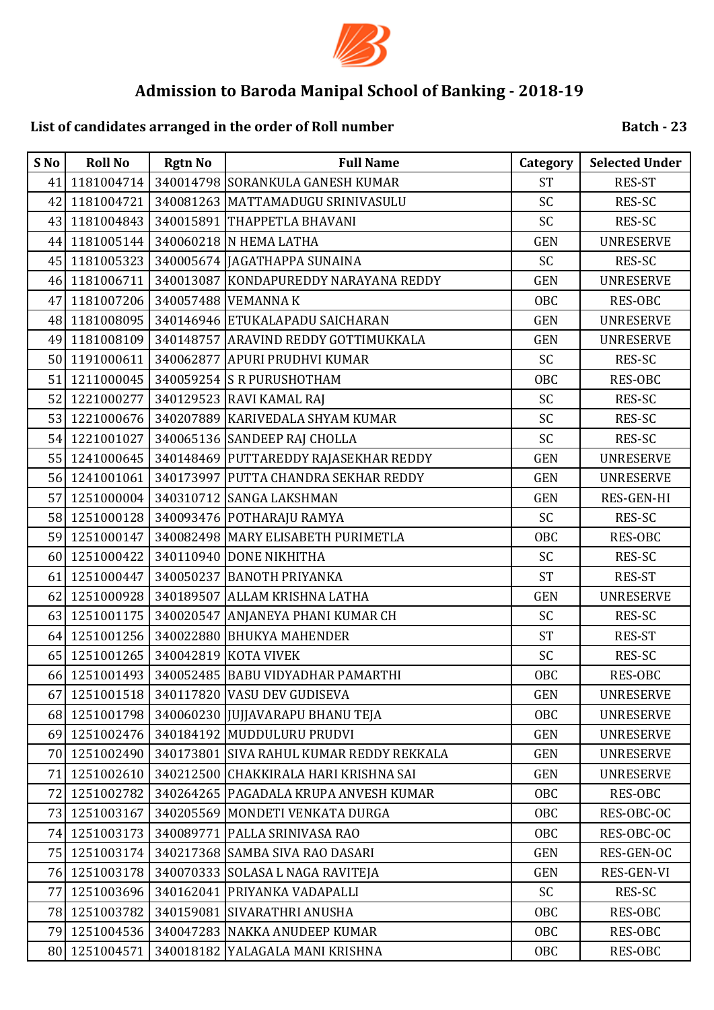

# **List of candidates arranged in the order of Roll number**

| S No | <b>Roll No</b> | <b>Rgtn No</b> | <b>Full Name</b>                         | Category   | <b>Selected Under</b> |
|------|----------------|----------------|------------------------------------------|------------|-----------------------|
| 41   | 1181004714     |                | 340014798 SORANKULA GANESH KUMAR         | <b>ST</b>  | <b>RES-ST</b>         |
| 42   | 1181004721     |                | 340081263 MATTAMADUGU SRINIVASULU        | SC         | RES-SC                |
| 43   | 1181004843     |                | 340015891 THAPPETLA BHAVANI              | SC         | RES-SC                |
| 44   | 1181005144     |                | 340060218 N HEMA LATHA                   | <b>GEN</b> | <b>UNRESERVE</b>      |
| 45   | 1181005323     |                | 340005674 JAGATHAPPA SUNAINA             | <b>SC</b>  | RES-SC                |
| 46   | 1181006711     |                | 340013087 KONDAPUREDDY NARAYANA REDDY    | <b>GEN</b> | <b>UNRESERVE</b>      |
| 47   | 1181007206     |                | 340057488 VEMANNA K                      | <b>OBC</b> | RES-OBC               |
| 48   | 1181008095     |                | 340146946 ETUKALAPADU SAICHARAN          | <b>GEN</b> | <b>UNRESERVE</b>      |
| 49   | 1181008109     |                | 340148757 ARAVIND REDDY GOTTIMUKKALA     | <b>GEN</b> | <b>UNRESERVE</b>      |
| 50   | 1191000611     |                | 340062877 APURI PRUDHVI KUMAR            | <b>SC</b>  | RES-SC                |
| 51   | 1211000045     |                | 340059254 S R PURUSHOTHAM                | <b>OBC</b> | RES-OBC               |
| 52   | 1221000277     |                | 340129523 RAVI KAMAL RAJ                 | SC         | RES-SC                |
|      | 53 1221000676  |                | 340207889 KARIVEDALA SHYAM KUMAR         | SC         | RES-SC                |
| 54   | 1221001027     |                | 340065136 SANDEEP RAJ CHOLLA             | SC         | RES-SC                |
| 55   | 1241000645     |                | 340148469 PUTTAREDDY RAJASEKHAR REDDY    | <b>GEN</b> | <b>UNRESERVE</b>      |
| 56   | 1241001061     |                | 340173997 PUTTA CHANDRA SEKHAR REDDY     | <b>GEN</b> | <b>UNRESERVE</b>      |
| 57   | 1251000004     |                | 340310712 SANGA LAKSHMAN                 | <b>GEN</b> | RES-GEN-HI            |
| 58   | 1251000128     |                | 340093476 POTHARAJU RAMYA                | <b>SC</b>  | RES-SC                |
| 59   | 1251000147     |                | 340082498 MARY ELISABETH PURIMETLA       | <b>OBC</b> | RES-OBC               |
| 60   | 1251000422     |                | 340110940 DONE NIKHITHA                  | SC         | RES-SC                |
| 61   | 1251000447     |                | 340050237 BANOTH PRIYANKA                | <b>ST</b>  | RES-ST                |
| 62   | 1251000928     |                | 340189507 ALLAM KRISHNA LATHA            | <b>GEN</b> | <b>UNRESERVE</b>      |
| 63   | 1251001175     |                | 340020547 ANJANEYA PHANI KUMAR CH        | SC         | RES-SC                |
| 64   | 1251001256     |                | 340022880 BHUKYA MAHENDER                | <b>ST</b>  | <b>RES-ST</b>         |
| 65   | 1251001265     |                | 340042819 KOTA VIVEK                     | SC         | RES-SC                |
| 66   | 1251001493     |                | 340052485 BABU VIDYADHAR PAMARTHI        | <b>OBC</b> | <b>RES-OBC</b>        |
| 67   | 1251001518     |                | 340117820 VASU DEV GUDISEVA              | <b>GEN</b> | <b>UNRESERVE</b>      |
| 68   | 1251001798     |                | 340060230 JJUJJAVARAPU BHANU TEJA        | OBC        | <b>UNRESERVE</b>      |
| 69   | 1251002476     |                | 340184192 MUDDULURU PRUDVI               | <b>GEN</b> | <b>UNRESERVE</b>      |
| 70   | 1251002490     |                | 340173801 SIVA RAHUL KUMAR REDDY REKKALA | <b>GEN</b> | <b>UNRESERVE</b>      |
| 71   | 1251002610     |                | 340212500 CHAKKIRALA HARI KRISHNA SAI    | <b>GEN</b> | <b>UNRESERVE</b>      |
| 72   | 1251002782     |                | 340264265   PAGADALA KRUPA ANVESH KUMAR  | OBC        | RES-OBC               |
| 73   | 1251003167     |                | 340205569 MONDETI VENKATA DURGA          | OBC        | RES-OBC-OC            |
| 74   | 1251003173     |                | 340089771   PALLA SRINIVASA RAO          | OBC        | RES-OBC-OC            |
| 75   | 1251003174     |                | 340217368 SAMBA SIVA RAO DASARI          | <b>GEN</b> | RES-GEN-OC            |
| 76   | 1251003178     |                | 340070333 SOLASA L NAGA RAVITEJA         | <b>GEN</b> | RES-GEN-VI            |
| 77   | 1251003696     |                | 340162041 PRIYANKA VADAPALLI             | <b>SC</b>  | RES-SC                |
| 781  | 1251003782     |                | 340159081 SIVARATHRI ANUSHA              | OBC        | RES-OBC               |
| 79   | 1251004536     |                | 340047283 NAKKA ANUDEEP KUMAR            | <b>OBC</b> | RES-OBC               |
| 80   | 1251004571     |                | 340018182 YALAGALA MANI KRISHNA          | OBC        | RES-OBC               |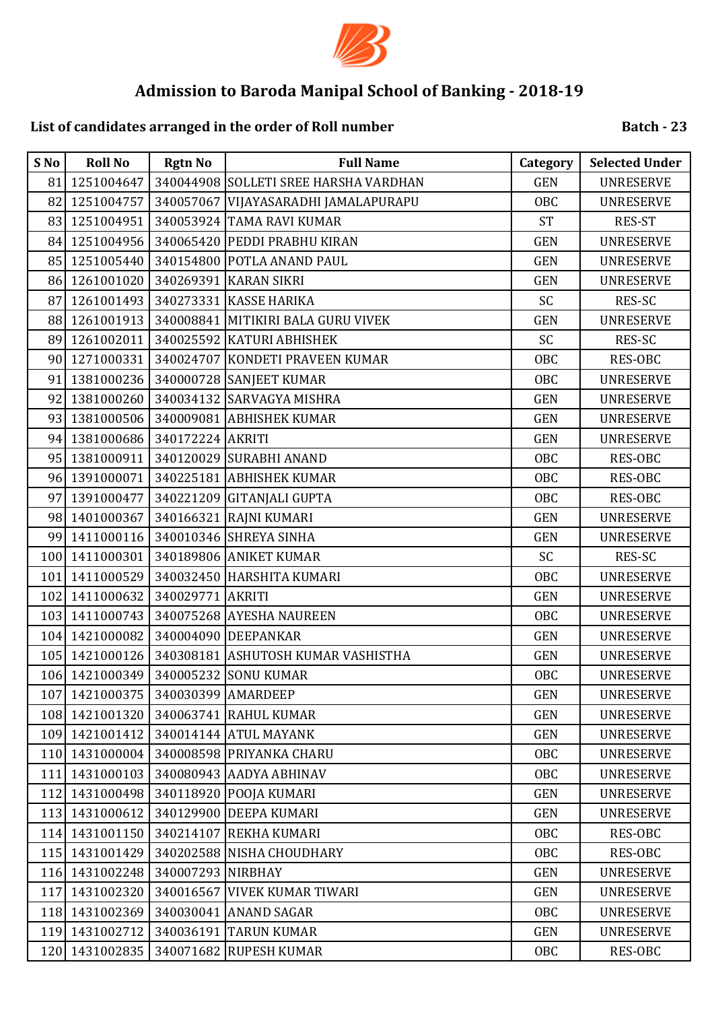

# **List of candidates arranged in the order of Roll number**

| S No | <b>Roll No</b> | <b>Rgtn No</b>    | <b>Full Name</b>                      | Category   | <b>Selected Under</b> |
|------|----------------|-------------------|---------------------------------------|------------|-----------------------|
| 81   | 1251004647     |                   | 340044908 SOLLETI SREE HARSHA VARDHAN | <b>GEN</b> | <b>UNRESERVE</b>      |
| 82   | 1251004757     |                   | 340057067 VIJAYASARADHI JAMALAPURAPU  | OBC        | <b>UNRESERVE</b>      |
| 83   | 1251004951     |                   | 340053924 TAMA RAVI KUMAR             | <b>ST</b>  | <b>RES-ST</b>         |
| 84   | 1251004956     |                   | 340065420 PEDDI PRABHU KIRAN          | <b>GEN</b> | <b>UNRESERVE</b>      |
| 85   | 1251005440     |                   | 340154800 POTLA ANAND PAUL            | <b>GEN</b> | <b>UNRESERVE</b>      |
| 86   | 1261001020     |                   | 340269391 KARAN SIKRI                 | <b>GEN</b> | <b>UNRESERVE</b>      |
| 87   | 1261001493     |                   | 340273331 KASSE HARIKA                | SC         | RES-SC                |
| 88   | 1261001913     |                   | 340008841 MITIKIRI BALA GURU VIVEK    | <b>GEN</b> | <b>UNRESERVE</b>      |
| 89   | 1261002011     |                   | 340025592 KATURI ABHISHEK             | SC         | RES-SC                |
| 90   | 1271000331     |                   | 340024707 KONDETI PRAVEEN KUMAR       | <b>OBC</b> | RES-OBC               |
| 91   | 1381000236     |                   | 340000728 SANJEET KUMAR               | OBC        | <b>UNRESERVE</b>      |
| 92   | 1381000260     |                   | 340034132 SARVAGYA MISHRA             | <b>GEN</b> | <b>UNRESERVE</b>      |
| 93   | 1381000506     |                   | 340009081 ABHISHEK KUMAR              | <b>GEN</b> | <b>UNRESERVE</b>      |
| 94   | 1381000686     | 340172224 AKRITI  |                                       | <b>GEN</b> | <b>UNRESERVE</b>      |
| 95   | 1381000911     |                   | 340120029 SURABHI ANAND               | <b>OBC</b> | RES-OBC               |
| 96   | 1391000071     |                   | 340225181 ABHISHEK KUMAR              | OBC        | RES-OBC               |
| 97   | 1391000477     |                   | 340221209 GITANJALI GUPTA             | <b>OBC</b> | RES-OBC               |
| 98   | 1401000367     |                   | 340166321 RAJNI KUMARI                | <b>GEN</b> | <b>UNRESERVE</b>      |
| 99   | 1411000116     |                   | 340010346 SHREYA SINHA                | <b>GEN</b> | <b>UNRESERVE</b>      |
| 100  | 1411000301     |                   | 340189806 ANIKET KUMAR                | SC         | RES-SC                |
| 101  | 1411000529     |                   | 340032450 HARSHITA KUMARI             | <b>OBC</b> | <b>UNRESERVE</b>      |
| 102  | 1411000632     | 340029771 AKRITI  |                                       | <b>GEN</b> | <b>UNRESERVE</b>      |
| 103  | 1411000743     |                   | 340075268 AYESHA NAUREEN              | <b>OBC</b> | <b>UNRESERVE</b>      |
| 104  | 1421000082     |                   | 340004090 DEEPANKAR                   | <b>GEN</b> | <b>UNRESERVE</b>      |
| 105  | 1421000126     |                   | 340308181 ASHUTOSH KUMAR VASHISTHA    | <b>GEN</b> | <b>UNRESERVE</b>      |
| 106  | 1421000349     |                   | 340005232 SONU KUMAR                  | <b>OBC</b> | <b>UNRESERVE</b>      |
| 107  | 1421000375     |                   | 340030399 AMARDEEP                    | <b>GEN</b> | <b>UNRESERVE</b>      |
| 108  | 1421001320     |                   | 340063741 RAHUL KUMAR                 | <b>GEN</b> | <b>UNRESERVE</b>      |
|      | 109 1421001412 |                   | 340014144 ATUL MAYANK                 | <b>GEN</b> | <b>UNRESERVE</b>      |
| 110  | 1431000004     |                   | 340008598 PRIYANKA CHARU              | OBC        | <b>UNRESERVE</b>      |
| 111  | 1431000103     |                   | 340080943 AADYA ABHINAV               | OBC        | <b>UNRESERVE</b>      |
| 112  | 1431000498     |                   | 340118920 POOJA KUMARI                | <b>GEN</b> | <b>UNRESERVE</b>      |
| 113  | 1431000612     |                   | 340129900 DEEPA KUMARI                | <b>GEN</b> | <b>UNRESERVE</b>      |
| 114  | 1431001150     |                   | 340214107 REKHA KUMARI                | OBC        | RES-OBC               |
| 115  | 1431001429     |                   | 340202588 NISHA CHOUDHARY             | OBC        | RES-OBC               |
| 116  | 1431002248     | 340007293 NIRBHAY |                                       | <b>GEN</b> | <b>UNRESERVE</b>      |
| 117  | 1431002320     | 340016567         | <b>VIVEK KUMAR TIWARI</b>             | <b>GEN</b> | <b>UNRESERVE</b>      |
| 118  | 1431002369     |                   | 340030041 ANAND SAGAR                 | OBC        | <b>UNRESERVE</b>      |
| 119  | 1431002712     | 340036191         | <b>TARUN KUMAR</b>                    | <b>GEN</b> | <b>UNRESERVE</b>      |
| 120  | 1431002835     |                   | 340071682 RUPESH KUMAR                | OBC        | RES-OBC               |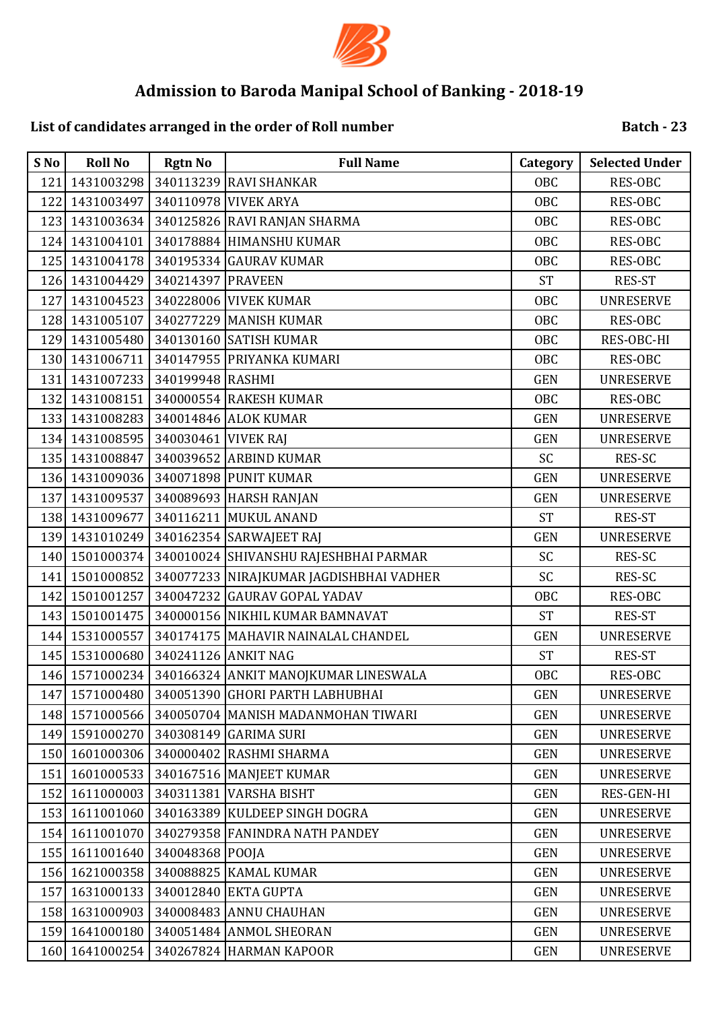

## **List of candidates arranged in the order of Roll number**

| S No             | <b>Roll No</b> | <b>Rgtn No</b>      | <b>Full Name</b>                        | Category   | <b>Selected Under</b> |
|------------------|----------------|---------------------|-----------------------------------------|------------|-----------------------|
| 121              | 1431003298     |                     | 340113239 RAVI SHANKAR                  | OBC        | RES-OBC               |
| 122              | 1431003497     |                     | 340110978 VIVEK ARYA                    | <b>OBC</b> | RES-OBC               |
| 123              | 1431003634     |                     | 340125826 RAVI RANJAN SHARMA            | <b>OBC</b> | RES-OBC               |
| 124              | 1431004101     |                     | 340178884 HIMANSHU KUMAR                | <b>OBC</b> | RES-OBC               |
|                  | 125 1431004178 |                     | 340195334 GAURAV KUMAR                  | OBC        | RES-OBC               |
|                  | 126 1431004429 | 340214397 PRAVEEN   |                                         | <b>ST</b>  | <b>RES-ST</b>         |
| 127              | 1431004523     |                     | 340228006 VIVEK KUMAR                   | <b>OBC</b> | <b>UNRESERVE</b>      |
|                  | 128 1431005107 |                     | 340277229 MANISH KUMAR                  | <b>OBC</b> | RES-OBC               |
| 129              | 1431005480     |                     | 340130160 SATISH KUMAR                  | <b>OBC</b> | RES-OBC-HI            |
| 130              | 1431006711     |                     | 340147955 PRIYANKA KUMARI               | <b>OBC</b> | RES-OBC               |
| 131              | 1431007233     | 340199948 RASHMI    |                                         | <b>GEN</b> | <b>UNRESERVE</b>      |
| 132              | 1431008151     |                     | 340000554 RAKESH KUMAR                  | <b>OBC</b> | RES-OBC               |
| 133              | 1431008283     |                     | 340014846 ALOK KUMAR                    | <b>GEN</b> | <b>UNRESERVE</b>      |
| 134              | 1431008595     | 340030461 VIVEK RAJ |                                         | <b>GEN</b> | <b>UNRESERVE</b>      |
| 135              | 1431008847     |                     | 340039652 ARBIND KUMAR                  | SC         | RES-SC                |
| 136              | 1431009036     |                     | 340071898 PUNIT KUMAR                   | <b>GEN</b> | <b>UNRESERVE</b>      |
| 137              | 1431009537     |                     | 340089693 HARSH RANJAN                  | <b>GEN</b> | <b>UNRESERVE</b>      |
|                  | 138 1431009677 |                     | 340116211 MUKUL ANAND                   | <b>ST</b>  | <b>RES-ST</b>         |
|                  | 139 1431010249 |                     | 340162354 SARWAJEET RAJ                 | <b>GEN</b> | <b>UNRESERVE</b>      |
| 140              | 1501000374     |                     | 340010024 SHIVANSHU RAJESHBHAI PARMAR   | SC         | RES-SC                |
| 141              | 1501000852     |                     | 340077233 NIRAJKUMAR JAGDISHBHAI VADHER | SC         | RES-SC                |
| 142              | 1501001257     |                     | 340047232 GAURAV GOPAL YADAV            | <b>OBC</b> | RES-OBC               |
|                  | 143 1501001475 |                     | 340000156 NIKHIL KUMAR BAMNAVAT         | <b>ST</b>  | RES-ST                |
|                  | 144 1531000557 |                     | 340174175 MAHAVIR NAINALAL CHANDEL      | <b>GEN</b> | <b>UNRESERVE</b>      |
|                  | 145 1531000680 | 340241126 ANKIT NAG |                                         | <b>ST</b>  | <b>RES-ST</b>         |
| 146              | 1571000234     |                     | 340166324 ANKIT MANOJKUMAR LINESWALA    | <b>OBC</b> | RES-OBC               |
|                  | 147 1571000480 |                     | 340051390 GHORI PARTH LABHUBHAI         | <b>GEN</b> | <b>UNRESERVE</b>      |
|                  | 148 1571000566 |                     | 340050704 MANISH MADANMOHAN TIWARI      | <b>GEN</b> | <b>UNRESERVE</b>      |
|                  | 149 1591000270 |                     | 340308149 GARIMA SURI                   | <b>GEN</b> | <b>UNRESERVE</b>      |
| 150 <sup> </sup> | 1601000306     |                     | 340000402 RASHMI SHARMA                 | <b>GEN</b> | <b>UNRESERVE</b>      |
| 151              | 1601000533     |                     | 340167516 MANJEET KUMAR                 | <b>GEN</b> | <b>UNRESERVE</b>      |
| 152              | 1611000003     |                     | 340311381 VARSHA BISHT                  | <b>GEN</b> | RES-GEN-HI            |
| 153              | 1611001060     |                     | 340163389 KULDEEP SINGH DOGRA           | <b>GEN</b> | <b>UNRESERVE</b>      |
| 154              | 1611001070     |                     | 340279358 FANINDRA NATH PANDEY          | <b>GEN</b> | <b>UNRESERVE</b>      |
| 155              | 1611001640     | 340048368 POOJA     |                                         | <b>GEN</b> | <b>UNRESERVE</b>      |
| 156              | 1621000358     |                     | 340088825 KAMAL KUMAR                   | <b>GEN</b> | <b>UNRESERVE</b>      |
| 157              | 1631000133     |                     | 340012840 EKTA GUPTA                    | <b>GEN</b> | <b>UNRESERVE</b>      |
| 158              | 1631000903     |                     | 340008483 ANNU CHAUHAN                  | <b>GEN</b> | <b>UNRESERVE</b>      |
| 159              | 1641000180     |                     | 340051484 ANMOL SHEORAN                 | <b>GEN</b> | <b>UNRESERVE</b>      |
| 160              | 1641000254     |                     | 340267824 HARMAN KAPOOR                 | <b>GEN</b> | <b>UNRESERVE</b>      |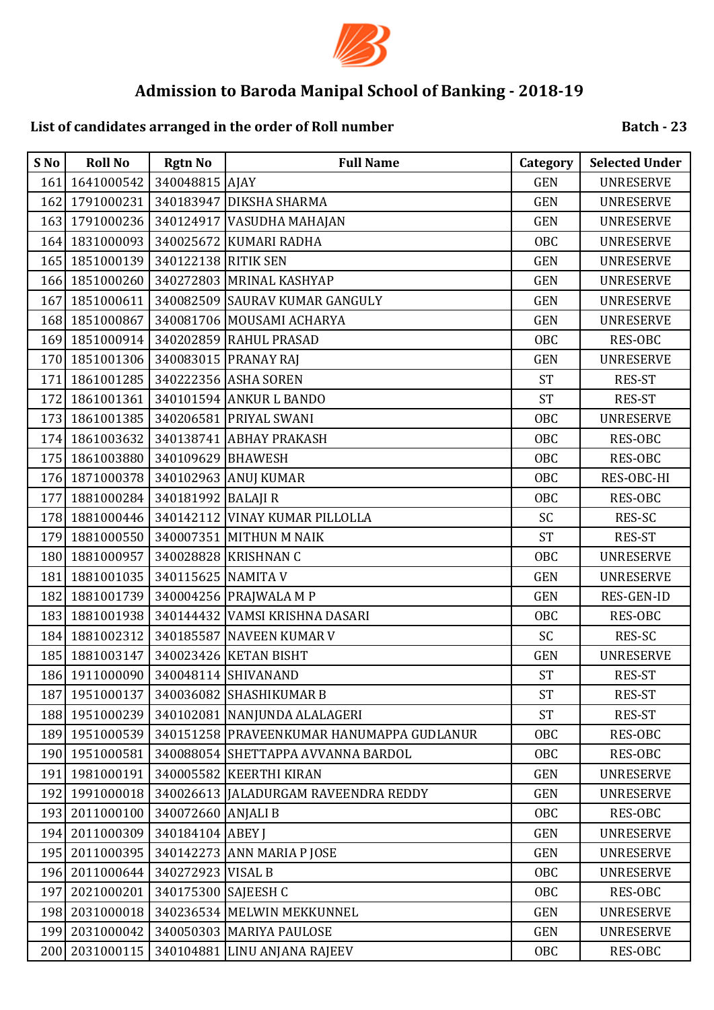

## **List of candidates arranged in the order of Roll number**

| S No | <b>Roll No</b>                     | <b>Rgtn No</b>      | <b>Full Name</b>                          | Category   | <b>Selected Under</b> |
|------|------------------------------------|---------------------|-------------------------------------------|------------|-----------------------|
| 161  | 1641000542                         | 340048815 AJAY      |                                           | <b>GEN</b> | <b>UNRESERVE</b>      |
| 162  |                                    |                     | 1791000231 340183947 DIKSHA SHARMA        | <b>GEN</b> | <b>UNRESERVE</b>      |
|      |                                    |                     | 163 1791000236 340124917 VASUDHA MAHAJAN  | <b>GEN</b> | <b>UNRESERVE</b>      |
| 164  | 1831000093                         |                     | 340025672 KUMARI RADHA                    | OBC        | <b>UNRESERVE</b>      |
|      | 165 1851000139 340122138 RITIK SEN |                     |                                           | <b>GEN</b> | <b>UNRESERVE</b>      |
|      |                                    |                     | 166 1851000260 340272803 MRINAL KASHYAP   | <b>GEN</b> | <b>UNRESERVE</b>      |
| 167  |                                    |                     | 1851000611 340082509 SAURAV KUMAR GANGULY | <b>GEN</b> | <b>UNRESERVE</b>      |
| 168  | 1851000867                         |                     | 340081706 MOUSAMI ACHARYA                 | <b>GEN</b> | <b>UNRESERVE</b>      |
| 169  | 1851000914                         |                     | 340202859 RAHUL PRASAD                    | OBC        | RES-OBC               |
| 170  | 1851001306 340083015 PRANAY RAJ    |                     |                                           | <b>GEN</b> | <b>UNRESERVE</b>      |
| 171  | 1861001285                         |                     | 340222356 ASHA SOREN                      | <b>ST</b>  | RES-ST                |
| 172  | 1861001361                         |                     | 340101594 ANKUR L BANDO                   | <b>ST</b>  | <b>RES-ST</b>         |
| 173  |                                    |                     | 1861001385   340206581   PRIYAL SWANI     | <b>OBC</b> | <b>UNRESERVE</b>      |
| 174  | 1861003632                         |                     | 340138741 ABHAY PRAKASH                   | OBC        | RES-OBC               |
| 175  | 1861003880 340109629 BHAWESH       |                     |                                           | <b>OBC</b> | <b>RES-OBC</b>        |
| 176  | 1871000378 340102963 ANUJ KUMAR    |                     |                                           | <b>OBC</b> | RES-OBC-HI            |
| 177  | 1881000284 340181992 BALAJI R      |                     |                                           | OBC        | RES-OBC               |
| 178  |                                    |                     | 1881000446 340142112 VINAY KUMAR PILLOLLA | SC         | RES-SC                |
| 179  | 1881000550                         |                     | 340007351 MITHUN M NAIK                   | <b>ST</b>  | RES-ST                |
| 180  | 1881000957                         |                     | 340028828 KRISHNAN C                      | <b>OBC</b> | <b>UNRESERVE</b>      |
| 181  | 1881001035   340115625 NAMITA V    |                     |                                           | <b>GEN</b> | <b>UNRESERVE</b>      |
| 182  | 1881001739                         |                     | 340004256 PRAJWALA M P                    | <b>GEN</b> | RES-GEN-ID            |
| 183  |                                    |                     | 1881001938 340144432 VAMSI KRISHNA DASARI | <b>OBC</b> | <b>RES-OBC</b>        |
| 184  | 1881002312                         |                     | 340185587 NAVEEN KUMAR V                  | SC         | RES-SC                |
| 185  | 1881003147                         |                     | 340023426 KETAN BISHT                     | <b>GEN</b> | <b>UNRESERVE</b>      |
|      | 186 1911000090 340048114 SHIVANAND |                     |                                           | <b>ST</b>  | RES-ST                |
|      | 187 1951000137                     |                     | 340036082 SHASHIKUMAR B                   | <b>ST</b>  | <b>RES-ST</b>         |
|      | 188 1951000239                     |                     | 340102081 NANJUNDA ALALAGERI              | <b>ST</b>  | RES-ST                |
|      | 189 1951000539                     |                     | 340151258 PRAVEENKUMAR HANUMAPPA GUDLANUR | OBC        | RES-OBC               |
|      | 190 1951000581                     |                     | 340088054 SHETTAPPA AVVANNA BARDOL        | OBC        | RES-OBC               |
| 191  | 1981000191                         |                     | 340005582 KEERTHI KIRAN                   | <b>GEN</b> | <b>UNRESERVE</b>      |
| 192  | 1991000018                         |                     | 340026613   JALADURGAM RAVEENDRA REDDY    | <b>GEN</b> | <b>UNRESERVE</b>      |
| 193  | 2011000100                         | 340072660 ANJALI B  |                                           | OBC        | RES-OBC               |
| 194  | 2011000309                         | 340184104 ABEY J    |                                           | <b>GEN</b> | <b>UNRESERVE</b>      |
| 195  | 2011000395                         | 340142273           | <b>ANN MARIA P JOSE</b>                   | <b>GEN</b> | <b>UNRESERVE</b>      |
| 196  | 2011000644                         | 340272923 VISAL B   |                                           | OBC        | <b>UNRESERVE</b>      |
| 197  | 2021000201                         | 340175300 SAJEESH C |                                           | OBC        | RES-OBC               |
| 198  | 2031000018                         |                     | 340236534 MELWIN MEKKUNNEL                | <b>GEN</b> | <b>UNRESERVE</b>      |
| 199  | 2031000042                         |                     | 340050303 MARIYA PAULOSE                  | <b>GEN</b> | <b>UNRESERVE</b>      |
|      | 200 2031000115                     |                     | 340104881 LINU ANJANA RAJEEV              | OBC        | RES-OBC               |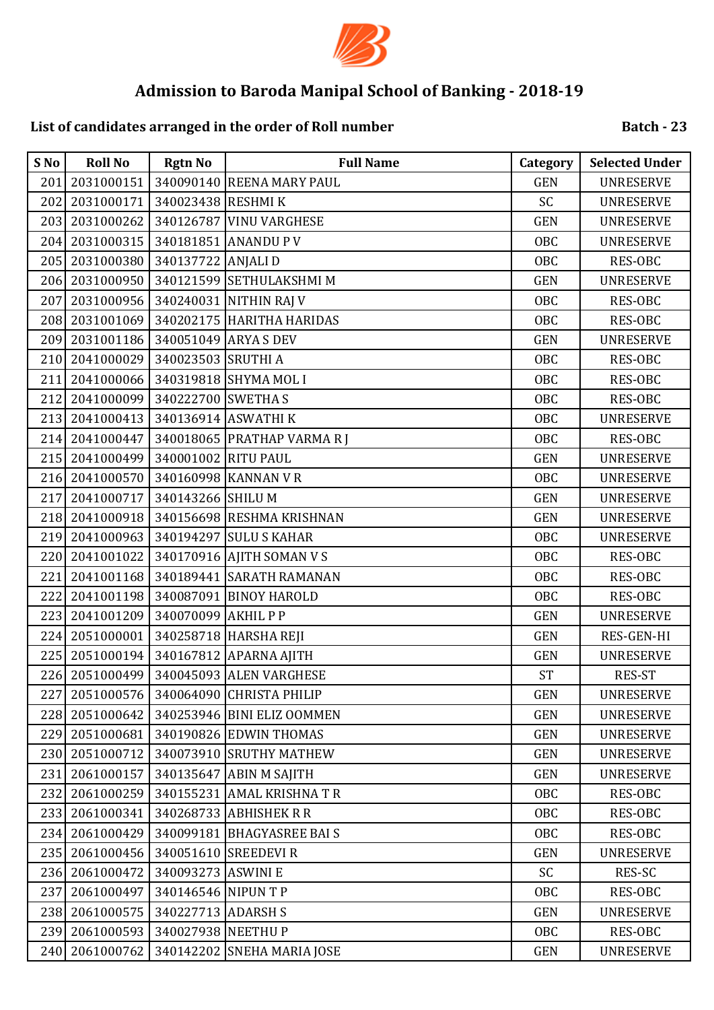

## **List of candidates arranged in the order of Roll number**

| S No | <b>Roll No</b> | <b>Rgtn No</b>      | <b>Full Name</b>           | Category   | <b>Selected Under</b> |
|------|----------------|---------------------|----------------------------|------------|-----------------------|
| 201  | 2031000151     |                     | 340090140 REENA MARY PAUL  | <b>GEN</b> | <b>UNRESERVE</b>      |
| 202  | 2031000171     | 340023438 RESHMI K  |                            | SC         | <b>UNRESERVE</b>      |
| 203  | 2031000262     |                     | 340126787 VINU VARGHESE    | <b>GEN</b> | <b>UNRESERVE</b>      |
| 204  | 2031000315     |                     | 340181851 ANANDU P V       | OBC        | <b>UNRESERVE</b>      |
| 205  | 2031000380     | 340137722 ANJALI D  |                            | OBC        | RES-OBC               |
| 206  | 2031000950     |                     | 340121599 SETHULAKSHMI M   | <b>GEN</b> | <b>UNRESERVE</b>      |
| 207  | 2031000956     |                     | 340240031 NITHIN RAJ V     | OBC        | <b>RES-OBC</b>        |
| 208  | 2031001069     |                     | 340202175 HARITHA HARIDAS  | <b>OBC</b> | RES-OBC               |
| 209  | 2031001186     |                     | 340051049 ARYA S DEV       | <b>GEN</b> | <b>UNRESERVE</b>      |
| 210  | 2041000029     | 340023503 SRUTHI A  |                            | <b>OBC</b> | <b>RES-OBC</b>        |
| 211  | 2041000066     |                     | 340319818 SHYMA MOL I      | <b>OBC</b> | RES-OBC               |
| 212  | 2041000099     | 340222700 SWETHAS   |                            | <b>OBC</b> | RES-OBC               |
| 213  | 2041000413     |                     | 340136914 ASWATHI K        | OBC        | <b>UNRESERVE</b>      |
| 214  | 2041000447     |                     | 340018065 PRATHAP VARMARI  | <b>OBC</b> | <b>RES-OBC</b>        |
| 215  | 2041000499     | 340001002 RITU PAUL |                            | <b>GEN</b> | <b>UNRESERVE</b>      |
| 216  | 2041000570     |                     | 340160998 KANNAN VR        | <b>OBC</b> | <b>UNRESERVE</b>      |
| 217  | 2041000717     | 340143266 SHILU M   |                            | <b>GEN</b> | <b>UNRESERVE</b>      |
| 218  | 2041000918     |                     | 340156698 RESHMA KRISHNAN  | <b>GEN</b> | <b>UNRESERVE</b>      |
| 219  | 2041000963     |                     | 340194297 SULU S KAHAR     | <b>OBC</b> | <b>UNRESERVE</b>      |
| 220  | 2041001022     |                     | 340170916 AJITH SOMAN V S  | <b>OBC</b> | RES-OBC               |
| 221  | 2041001168     |                     | 340189441 SARATH RAMANAN   | <b>OBC</b> | RES-OBC               |
| 222  | 2041001198     |                     | 340087091 BINOY HAROLD     | <b>OBC</b> | RES-OBC               |
| 223  | 2041001209     | 340070099 AKHIL P P |                            | <b>GEN</b> | <b>UNRESERVE</b>      |
| 224  | 2051000001     |                     | 340258718 HARSHA REJI      | <b>GEN</b> | RES-GEN-HI            |
| 225  | 2051000194     |                     | 340167812 APARNA AJITH     | <b>GEN</b> | <b>UNRESERVE</b>      |
| 226  | 2051000499     |                     | 340045093 ALEN VARGHESE    | <b>ST</b>  | RES-ST                |
| 227  | 2051000576     |                     | 340064090 CHRISTA PHILIP   | <b>GEN</b> | <b>UNRESERVE</b>      |
| 228  | 2051000642     |                     | 340253946 BINI ELIZ OOMMEN | <b>GEN</b> | <b>UNRESERVE</b>      |
| 229  | 2051000681     |                     | 340190826 EDWIN THOMAS     | <b>GEN</b> | <b>UNRESERVE</b>      |
| 230  | 2051000712     |                     | 340073910 SRUTHY MATHEW    | <b>GEN</b> | <b>UNRESERVE</b>      |
| 231  | 2061000157     |                     | 340135647 ABIN M SAJITH    | <b>GEN</b> | <b>UNRESERVE</b>      |
| 232  | 2061000259     |                     | 340155231 AMAL KRISHNA TR  | OBC        | RES-OBC               |
| 233  | 2061000341     |                     | 340268733 ABHISHEK R R     | OBC        | RES-OBC               |
| 234  | 2061000429     |                     | 340099181 BHAGYASREE BAIS  | OBC        | RES-OBC               |
| 235  | 2061000456     |                     | 340051610 SREEDEVI R       | <b>GEN</b> | <b>UNRESERVE</b>      |
| 236  | 2061000472     | 340093273 ASWINI E  |                            | <b>SC</b>  | RES-SC                |
| 237  | 2061000497     | 340146546 NIPUN T P |                            | OBC        | RES-OBC               |
| 238  | 2061000575     | 340227713 ADARSH S  |                            | <b>GEN</b> | <b>UNRESERVE</b>      |
| 239  | 2061000593     | 340027938 NEETHU P  |                            | <b>OBC</b> | RES-OBC               |
| 240  | 2061000762     |                     | 340142202 SNEHA MARIA JOSE | <b>GEN</b> | <b>UNRESERVE</b>      |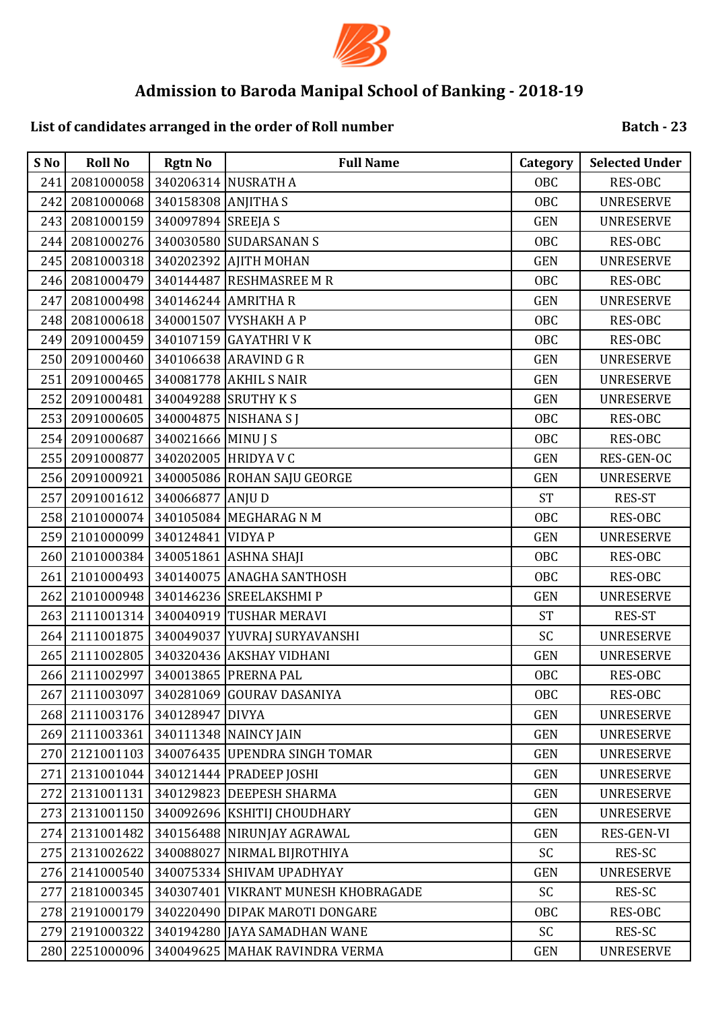

# **List of candidates arranged in the order of Roll number**

| S No | <b>Roll No</b> | <b>Rgtn No</b>      | <b>Full Name</b>                    | Category   | <b>Selected Under</b> |
|------|----------------|---------------------|-------------------------------------|------------|-----------------------|
| 241  | 2081000058     |                     | 340206314 NUSRATH A                 | OBC        | <b>RES-OBC</b>        |
| 242  | 2081000068     | 340158308 ANJITHA S |                                     | <b>OBC</b> | <b>UNRESERVE</b>      |
| 243  | 2081000159     | 340097894 SREEJA S  |                                     | <b>GEN</b> | <b>UNRESERVE</b>      |
| 244  | 2081000276     |                     | 340030580 SUDARSANAN S              | OBC        | <b>RES-OBC</b>        |
| 245  | 2081000318     |                     | 340202392 AJITH MOHAN               | <b>GEN</b> | <b>UNRESERVE</b>      |
| 246  | 2081000479     |                     | 340144487 RESHMASREE M R            | OBC        | RES-OBC               |
| 247  | 2081000498     | 340146244 AMRITHA R |                                     | <b>GEN</b> | <b>UNRESERVE</b>      |
| 248  | 2081000618     |                     | 340001507 VYSHAKH A P               | <b>OBC</b> | RES-OBC               |
| 249  | 2091000459     |                     | 340107159 GAYATHRI V K              | OBC        | RES-OBC               |
| 250  | 2091000460     |                     | 340106638 ARAVIND G R               | <b>GEN</b> | <b>UNRESERVE</b>      |
| 251  | 2091000465     |                     | 340081778 AKHIL S NAIR              | <b>GEN</b> | <b>UNRESERVE</b>      |
| 252  | 2091000481     |                     | 340049288 SRUTHY KS                 | <b>GEN</b> | <b>UNRESERVE</b>      |
| 253  | 2091000605     |                     | 340004875 NISHANA S J               | OBC        | RES-OBC               |
| 254  | 2091000687     | 340021666 MINU J S  |                                     | <b>OBC</b> | RES-OBC               |
| 255  | 2091000877     |                     | 340202005 HRIDYA V C                | <b>GEN</b> | RES-GEN-OC            |
| 256  | 2091000921     |                     | 340005086 ROHAN SAJU GEORGE         | <b>GEN</b> | <b>UNRESERVE</b>      |
| 257  | 2091001612     | 340066877 ANJU D    |                                     | <b>ST</b>  | RES-ST                |
| 258  | 2101000074     |                     | 340105084 MEGHARAG N M              | <b>OBC</b> | <b>RES-OBC</b>        |
| 259  | 2101000099     | 340124841 VIDYA P   |                                     | <b>GEN</b> | <b>UNRESERVE</b>      |
| 260  | 2101000384     |                     | 340051861 ASHNA SHAJI               | <b>OBC</b> | RES-OBC               |
| 261  | 2101000493     |                     | 340140075 ANAGHA SANTHOSH           | <b>OBC</b> | RES-OBC               |
| 262  | 2101000948     |                     | 340146236 SREELAKSHMI P             | <b>GEN</b> | <b>UNRESERVE</b>      |
| 263  | 2111001314     |                     | 340040919 TUSHAR MERAVI             | <b>ST</b>  | RES-ST                |
| 264  | 2111001875     |                     | 340049037 YUVRAJ SURYAVANSHI        | SC         | <b>UNRESERVE</b>      |
| 265  | 2111002805     |                     | 340320436 AKSHAY VIDHANI            | <b>GEN</b> | <b>UNRESERVE</b>      |
| 266  | 2111002997     |                     | 340013865 PRERNA PAL                | <b>OBC</b> | RES-OBC               |
| 267  | 2111003097     |                     | 340281069 GOURAV DASANIYA           | OBC        | RES-OBC               |
|      | 268 2111003176 | 340128947 DIVYA     |                                     | <b>GEN</b> | <b>UNRESERVE</b>      |
| 269  | 2111003361     |                     | 340111348 NAINCY JAIN               | <b>GEN</b> | <b>UNRESERVE</b>      |
| 270  | 2121001103     |                     | 340076435 UPENDRA SINGH TOMAR       | <b>GEN</b> | <b>UNRESERVE</b>      |
| 271  | 2131001044     |                     | 340121444 PRADEEP JOSHI             | <b>GEN</b> | <b>UNRESERVE</b>      |
| 272  | 2131001131     |                     | 340129823 DEEPESH SHARMA            | <b>GEN</b> | <b>UNRESERVE</b>      |
| 273  | 2131001150     |                     | 340092696 KSHITIJ CHOUDHARY         | <b>GEN</b> | <b>UNRESERVE</b>      |
| 274  | 2131001482     |                     | 340156488 NIRUNJAY AGRAWAL          | <b>GEN</b> | RES-GEN-VI            |
| 275  | 2131002622     | 340088027           | NIRMAL BIJROTHIYA                   | <b>SC</b>  | RES-SC                |
| 276  | 2141000540     |                     | 340075334 SHIVAM UPADHYAY           | <b>GEN</b> | <b>UNRESERVE</b>      |
| 277  | 2181000345     |                     | 340307401 VIKRANT MUNESH KHOBRAGADE | <b>SC</b>  | RES-SC                |
| 278  | 2191000179     |                     | 340220490 DIPAK MAROTI DONGARE      | OBC        | RES-OBC               |
| 279  | 2191000322     |                     | 340194280 JAYA SAMADHAN WANE        | <b>SC</b>  | RES-SC                |
| 280  | 2251000096     |                     | 340049625 MAHAK RAVINDRA VERMA      | <b>GEN</b> | <b>UNRESERVE</b>      |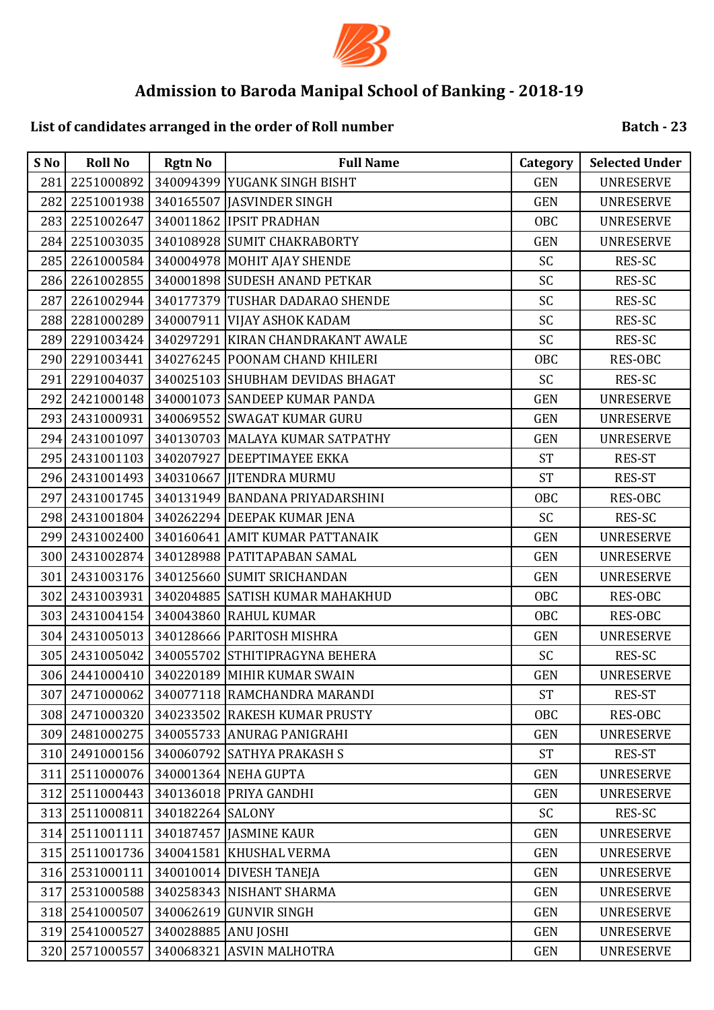

# **List of candidates arranged in the order of Roll number**

| S No | <b>Roll No</b> | <b>Rgtn No</b>      | <b>Full Name</b>                           | Category   | <b>Selected Under</b> |
|------|----------------|---------------------|--------------------------------------------|------------|-----------------------|
| 281  | 2251000892     |                     | 340094399 YUGANK SINGH BISHT               | <b>GEN</b> | <b>UNRESERVE</b>      |
| 282  | 2251001938     |                     | 340165507 JASVINDER SINGH                  | <b>GEN</b> | <b>UNRESERVE</b>      |
| 283  | 2251002647     |                     | 340011862 IPSIT PRADHAN                    | OBC        | <b>UNRESERVE</b>      |
| 284  | 2251003035     |                     | 340108928 SUMIT CHAKRABORTY                | <b>GEN</b> | <b>UNRESERVE</b>      |
| 285  | 2261000584     |                     | 340004978 MOHIT AJAY SHENDE                | SC         | RES-SC                |
| 286  | 2261002855     |                     | 340001898 SUDESH ANAND PETKAR              | SC         | RES-SC                |
| 287  |                |                     | 2261002944 340177379 TUSHAR DADARAO SHENDE | SC         | RES-SC                |
| 288  | 2281000289     |                     | 340007911 VIJAY ASHOK KADAM                | SC         | RES-SC                |
| 289  | 2291003424     |                     | 340297291 KIRAN CHANDRAKANT AWALE          | SC         | RES-SC                |
| 290  | 2291003441     |                     | 340276245 POONAM CHAND KHILERI             | <b>OBC</b> | RES-OBC               |
| 291  | 2291004037     |                     | 340025103 SHUBHAM DEVIDAS BHAGAT           | SC         | RES-SC                |
| 292  | 2421000148     |                     | 340001073 SANDEEP KUMAR PANDA              | <b>GEN</b> | <b>UNRESERVE</b>      |
| 293  | 2431000931     |                     | 340069552 SWAGAT KUMAR GURU                | <b>GEN</b> | <b>UNRESERVE</b>      |
| 294  | 2431001097     |                     | 340130703 MALAYA KUMAR SATPATHY            | <b>GEN</b> | <b>UNRESERVE</b>      |
|      |                |                     | 295 2431001103 340207927 DEEPTIMAYEE EKKA  | <b>ST</b>  | <b>RES-ST</b>         |
| 296  | 2431001493     |                     | 340310667 JITENDRA MURMU                   | <b>ST</b>  | RES-ST                |
| 297  | 2431001745     |                     | 340131949 BANDANA PRIYADARSHINI            | <b>OBC</b> | RES-OBC               |
|      | 298 2431001804 |                     | 340262294 DEEPAK KUMAR JENA                | SC         | RES-SC                |
|      | 299 2431002400 |                     | 340160641 AMIT KUMAR PATTANAIK             | <b>GEN</b> | <b>UNRESERVE</b>      |
| 300  | 2431002874     |                     | 340128988 PATITAPABAN SAMAL                | <b>GEN</b> | <b>UNRESERVE</b>      |
| 301  |                |                     | 2431003176 340125660 SUMIT SRICHANDAN      | <b>GEN</b> | <b>UNRESERVE</b>      |
| 302  | 2431003931     |                     | 340204885 SATISH KUMAR MAHAKHUD            | OBC        | RES-OBC               |
| 303  | 2431004154     |                     | 340043860 RAHUL KUMAR                      | <b>OBC</b> | RES-OBC               |
| 304  | 2431005013     |                     | 340128666 PARITOSH MISHRA                  | <b>GEN</b> | <b>UNRESERVE</b>      |
| 305  | 2431005042     |                     | 340055702 STHITIPRAGYNA BEHERA             | <b>SC</b>  | RES-SC                |
| 306  | 2441000410     |                     | 340220189 MIHIR KUMAR SWAIN                | <b>GEN</b> | <b>UNRESERVE</b>      |
| 307  | 2471000062     |                     | 340077118 RAMCHANDRA MARANDI               | <b>ST</b>  | RES-ST                |
|      | 308 2471000320 |                     | 340233502 RAKESH KUMAR PRUSTY              | OBC        | RES-OBC               |
|      | 309 2481000275 |                     | 340055733 ANURAG PANIGRAHI                 | <b>GEN</b> | <b>UNRESERVE</b>      |
|      | 310 2491000156 |                     | 340060792 SATHYA PRAKASH S                 | <b>ST</b>  | RES-ST                |
| 311  | 2511000076     |                     | 340001364 NEHA GUPTA                       | <b>GEN</b> | <b>UNRESERVE</b>      |
| 312  | 2511000443     |                     | 340136018 PRIYA GANDHI                     | <b>GEN</b> | <b>UNRESERVE</b>      |
| 313  | 2511000811     | 340182264 SALONY    |                                            | SC         | RES-SC                |
| 314  | 2511001111     |                     | 340187457 JASMINE KAUR                     | <b>GEN</b> | <b>UNRESERVE</b>      |
| 315  | 2511001736     |                     | 340041581 KHUSHAL VERMA                    | <b>GEN</b> | <b>UNRESERVE</b>      |
|      | 316 2531000111 |                     | 340010014 DIVESH TANEJA                    | <b>GEN</b> | <b>UNRESERVE</b>      |
| 317  | 2531000588     |                     | 340258343 NISHANT SHARMA                   | <b>GEN</b> | <b>UNRESERVE</b>      |
|      | 318 2541000507 |                     | 340062619 GUNVIR SINGH                     | <b>GEN</b> | <b>UNRESERVE</b>      |
| 319  | 2541000527     | 340028885 ANU JOSHI |                                            | <b>GEN</b> | <b>UNRESERVE</b>      |
| 320  | 2571000557     |                     | 340068321 ASVIN MALHOTRA                   | GEN        | <b>UNRESERVE</b>      |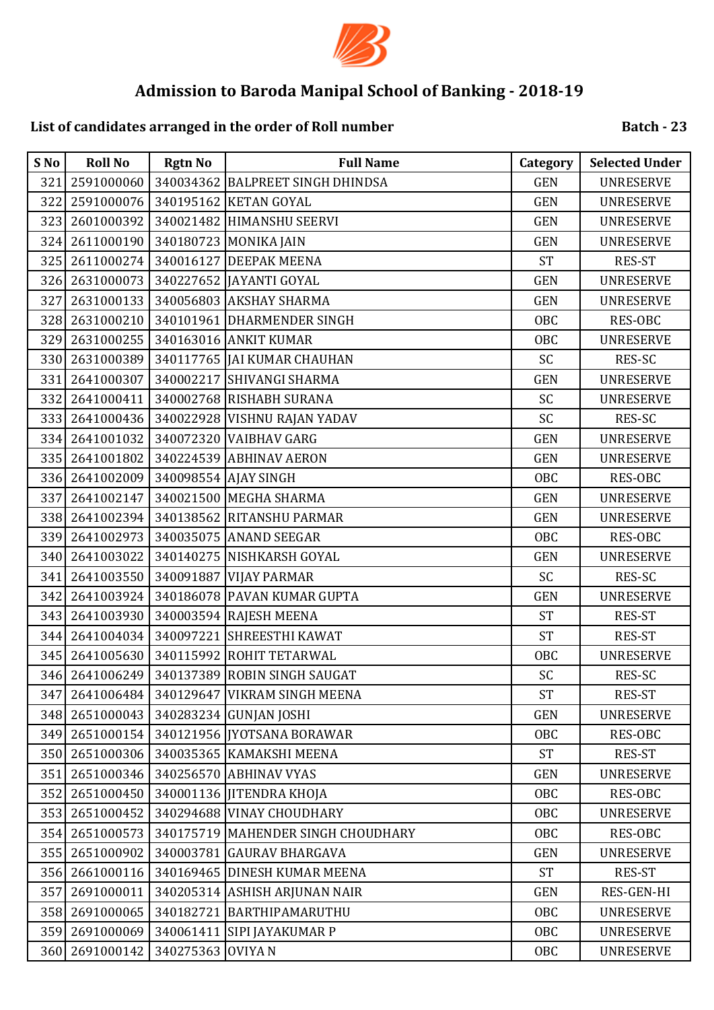

## **List of candidates arranged in the order of Roll number**

| S No | <b>Roll No</b> | <b>Rgtn No</b>    | <b>Full Name</b>                   | <b>Category</b> | <b>Selected Under</b> |
|------|----------------|-------------------|------------------------------------|-----------------|-----------------------|
| 321  | 2591000060     |                   | 340034362 BALPREET SINGH DHINDSA   | <b>GEN</b>      | <b>UNRESERVE</b>      |
| 322  | 2591000076     |                   | 340195162 KETAN GOYAL              | <b>GEN</b>      | <b>UNRESERVE</b>      |
| 323  | 2601000392     |                   | 340021482 HIMANSHU SEERVI          | <b>GEN</b>      | <b>UNRESERVE</b>      |
| 324  | 2611000190     |                   | 340180723 MONIKA JAIN              | <b>GEN</b>      | <b>UNRESERVE</b>      |
| 325  | 2611000274     |                   | 340016127 DEEPAK MEENA             | <b>ST</b>       | RES-ST                |
| 326  | 2631000073     |                   | 340227652 JAYANTI GOYAL            | <b>GEN</b>      | <b>UNRESERVE</b>      |
| 327  | 2631000133     |                   | 340056803 AKSHAY SHARMA            | <b>GEN</b>      | <b>UNRESERVE</b>      |
| 328  | 2631000210     |                   | 340101961 DHARMENDER SINGH         | <b>OBC</b>      | RES-OBC               |
| 329  | 2631000255     |                   | 340163016 ANKIT KUMAR              | <b>OBC</b>      | <b>UNRESERVE</b>      |
| 330  | 2631000389     |                   | 340117765   JAI KUMAR CHAUHAN      | SC              | RES-SC                |
| 331  | 2641000307     |                   | 340002217 SHIVANGI SHARMA          | <b>GEN</b>      | <b>UNRESERVE</b>      |
| 332  | 2641000411     |                   | 340002768 RISHABH SURANA           | SC              | <b>UNRESERVE</b>      |
| 333  | 2641000436     |                   | 340022928 VISHNU RAJAN YADAV       | SC              | RES-SC                |
| 334  | 2641001032     |                   | 340072320 VAIBHAV GARG             | <b>GEN</b>      | <b>UNRESERVE</b>      |
| 335  | 2641001802     |                   | 340224539 ABHINAV AERON            | <b>GEN</b>      | <b>UNRESERVE</b>      |
| 336  | 2641002009     |                   | 340098554 AJAY SINGH               | <b>OBC</b>      | RES-OBC               |
| 337  | 2641002147     |                   | 340021500 MEGHA SHARMA             | <b>GEN</b>      | <b>UNRESERVE</b>      |
| 338  | 2641002394     |                   | 340138562 RITANSHU PARMAR          | <b>GEN</b>      | <b>UNRESERVE</b>      |
| 339  | 2641002973     |                   | 340035075 ANAND SEEGAR             | <b>OBC</b>      | RES-OBC               |
| 340  | 2641003022     |                   | 340140275 NISHKARSH GOYAL          | <b>GEN</b>      | <b>UNRESERVE</b>      |
| 341  | 2641003550     |                   | 340091887 VIJAY PARMAR             | SC              | RES-SC                |
| 342  | 2641003924     |                   | 340186078 PAVAN KUMAR GUPTA        | <b>GEN</b>      | <b>UNRESERVE</b>      |
| 343  | 2641003930     |                   | 340003594 RAJESH MEENA             | <b>ST</b>       | RES-ST                |
| 344  | 2641004034     |                   | 340097221 SHREESTHI KAWAT          | <b>ST</b>       | RES-ST                |
| 345  | 2641005630     |                   | 340115992 ROHIT TETARWAL           | <b>OBC</b>      | <b>UNRESERVE</b>      |
| 346  | 2641006249     |                   | 340137389 ROBIN SINGH SAUGAT       | SC              | RES-SC                |
| 347  | 2641006484     | 340129647         | <b>VIKRAM SINGH MEENA</b>          | <b>ST</b>       | RES-ST                |
| 348  | 2651000043     |                   | 340283234 GUNJAN JOSHI             | <b>GEN</b>      | <b>UNRESERVE</b>      |
| 349  | 2651000154     |                   | 340121956   JYOTSANA BORAWAR       | OBC             | RES-OBC               |
| 350  | 2651000306     |                   | 340035365 KAMAKSHI MEENA           | <b>ST</b>       | RES-ST                |
| 351  | 2651000346     |                   | 340256570 ABHINAV VYAS             | <b>GEN</b>      | <b>UNRESERVE</b>      |
| 352  | 2651000450     |                   | 340001136 JITENDRA KHOJA           | OBC             | RES-OBC               |
| 353  | 2651000452     |                   | 340294688 VINAY CHOUDHARY          | OBC             | <b>UNRESERVE</b>      |
| 354  | 2651000573     |                   | 340175719 MAHENDER SINGH CHOUDHARY | <b>OBC</b>      | RES-OBC               |
| 355  | 2651000902     |                   | 340003781 GAURAV BHARGAVA          | <b>GEN</b>      | <b>UNRESERVE</b>      |
| 356  | 2661000116     |                   | 340169465 DINESH KUMAR MEENA       | <b>ST</b>       | RES-ST                |
| 357  | 2691000011     |                   | 340205314 ASHISH ARJUNAN NAIR      | <b>GEN</b>      | RES-GEN-HI            |
| 358  | 2691000065     |                   | 340182721 BARTHIPAMARUTHU          | OBC             | <b>UNRESERVE</b>      |
| 359  | 2691000069     |                   | 340061411 SIPI JAYAKUMAR P         | <b>OBC</b>      | <b>UNRESERVE</b>      |
| 360  | 2691000142     | 340275363 OVIYA N |                                    | OBC             | <b>UNRESERVE</b>      |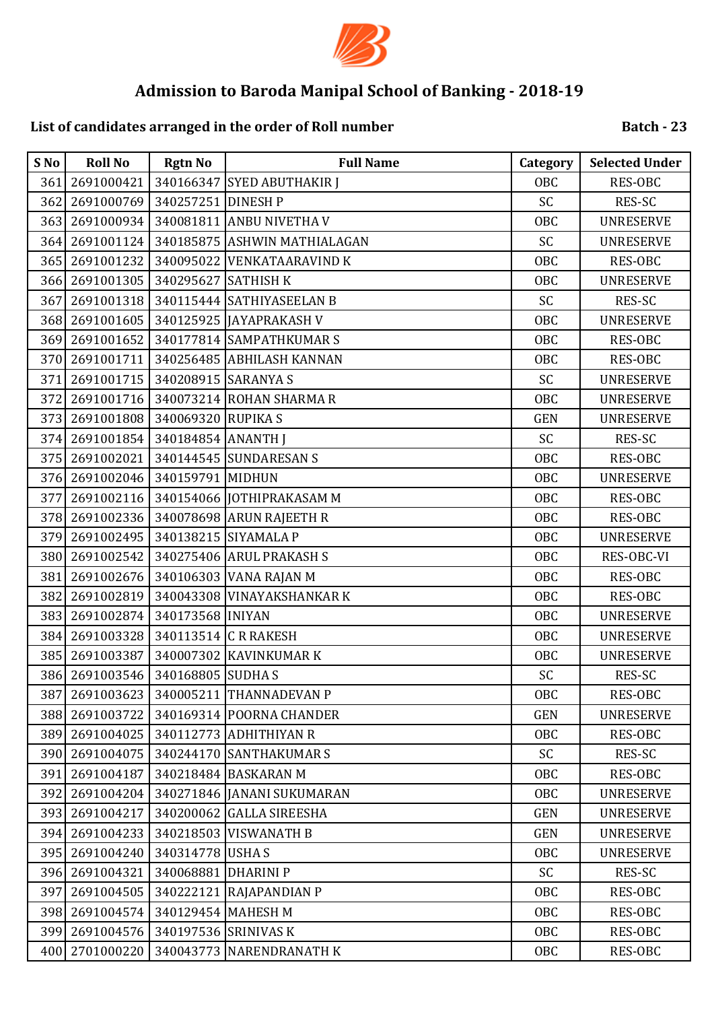

## **List of candidates arranged in the order of Roll number**

| S No | <b>Roll No</b> | <b>Rgtn No</b>      | <b>Full Name</b>                       | <b>Category</b> | <b>Selected Under</b> |
|------|----------------|---------------------|----------------------------------------|-----------------|-----------------------|
| 361  | 2691000421     |                     | 340166347 SYED ABUTHAKIR J             | OBC             | <b>RES-OBC</b>        |
| 362  | 2691000769     | 340257251 DINESH P  |                                        | <b>SC</b>       | RES-SC                |
| 363  | 2691000934     |                     | 340081811 ANBU NIVETHA V               | OBC             | <b>UNRESERVE</b>      |
| 364  | 2691001124     |                     | 340185875 ASHWIN MATHIALAGAN           | SC              | <b>UNRESERVE</b>      |
|      | 365 2691001232 |                     | 340095022 VENKATAARAVIND K             | <b>OBC</b>      | RES-OBC               |
| 366  | 2691001305     | 340295627 SATHISH K |                                        | OBC             | <b>UNRESERVE</b>      |
| 367  |                |                     | 2691001318   340115444 SATHIYASEELAN B | SC              | RES-SC                |
|      | 368 2691001605 |                     | 340125925 JAYAPRAKASH V                | <b>OBC</b>      | <b>UNRESERVE</b>      |
| 369  | 2691001652     |                     | 340177814 SAMPATHKUMAR S               | OBC             | <b>RES-OBC</b>        |
| 370  | 2691001711     |                     | 340256485 ABHILASH KANNAN              | OBC             | RES-OBC               |
| 371  | 2691001715     | 340208915 SARANYA S |                                        | SC              | <b>UNRESERVE</b>      |
| 372  | 2691001716     |                     | 340073214 ROHAN SHARMA R               | OBC             | <b>UNRESERVE</b>      |
| 373  | 2691001808     | 340069320 RUPIKA S  |                                        | <b>GEN</b>      | <b>UNRESERVE</b>      |
| 374  | 2691001854     | 340184854 ANANTH J  |                                        | SC              | RES-SC                |
| 375  |                |                     | 2691002021 340144545 SUNDARESAN S      | OBC             | RES-OBC               |
| 376  | 2691002046     | 340159791 MIDHUN    |                                        | OBC             | <b>UNRESERVE</b>      |
| 377  | 2691002116     |                     | 340154066 JOTHIPRAKASAM M              | OBC             | <b>RES-OBC</b>        |
| 378  | 2691002336     |                     | 340078698 ARUN RAJEETH R               | OBC             | <b>RES-OBC</b>        |
| 379  | 2691002495     |                     | 340138215 SIYAMALA P                   | OBC             | <b>UNRESERVE</b>      |
| 380  | 2691002542     |                     | 340275406 ARUL PRAKASH S               | OBC             | RES-OBC-VI            |
| 381  | 2691002676     |                     | 340106303 VANA RAJAN M                 | <b>OBC</b>      | RES-OBC               |
| 382  | 2691002819     |                     | 340043308 VINAYAKSHANKAR K             | OBC             | <b>RES-OBC</b>        |
| 383  | 2691002874     | 340173568 INIYAN    |                                        | OBC             | <b>UNRESERVE</b>      |
| 384  | 2691003328     |                     | 340113514 C R RAKESH                   | <b>OBC</b>      | <b>UNRESERVE</b>      |
| 385  | 2691003387     |                     | 340007302 KAVINKUMAR K                 | OBC             | <b>UNRESERVE</b>      |
| 386  | 2691003546     | 340168805 SUDHA S   |                                        | SC              | RES-SC                |
| 387  |                |                     | 2691003623 340005211 THANNADEVAN P     | OBC             | RES-OBC               |
| 388  | 2691003722     |                     | 340169314 POORNA CHANDER               | <b>GEN</b>      | <b>UNRESERVE</b>      |
| 389  | 2691004025     |                     | 340112773 ADHITHIYAN R                 | OBC             | RES-OBC               |
| 390  | 2691004075     |                     | 340244170 SANTHAKUMAR S                | <b>SC</b>       | RES-SC                |
| 391  | 2691004187     |                     | 340218484 BASKARAN M                   | OBC             | RES-OBC               |
| 392  | 2691004204     |                     | 340271846 JANANI SUKUMARAN             | OBC             | <b>UNRESERVE</b>      |
| 393  | 2691004217     |                     | 340200062 GALLA SIREESHA               | <b>GEN</b>      | <b>UNRESERVE</b>      |
| 394  | 2691004233     |                     | 340218503 VISWANATH B                  | <b>GEN</b>      | <b>UNRESERVE</b>      |
| 395  | 2691004240     | 340314778 USHA S    |                                        | OBC             | <b>UNRESERVE</b>      |
| 396  | 2691004321     | 340068881 DHARINI P |                                        | <b>SC</b>       | RES-SC                |
| 397  | 2691004505     |                     | 340222121 RAJAPANDIAN P                | OBC             | RES-OBC               |
| 398  | 2691004574     | 340129454 MAHESH M  |                                        | OBC             | RES-OBC               |
| 399  | 2691004576     |                     | 340197536 SRINIVAS K                   | OBC             | RES-OBC               |
| 400  | 2701000220     |                     | 340043773 NARENDRANATH K               | OBC             | RES-OBC               |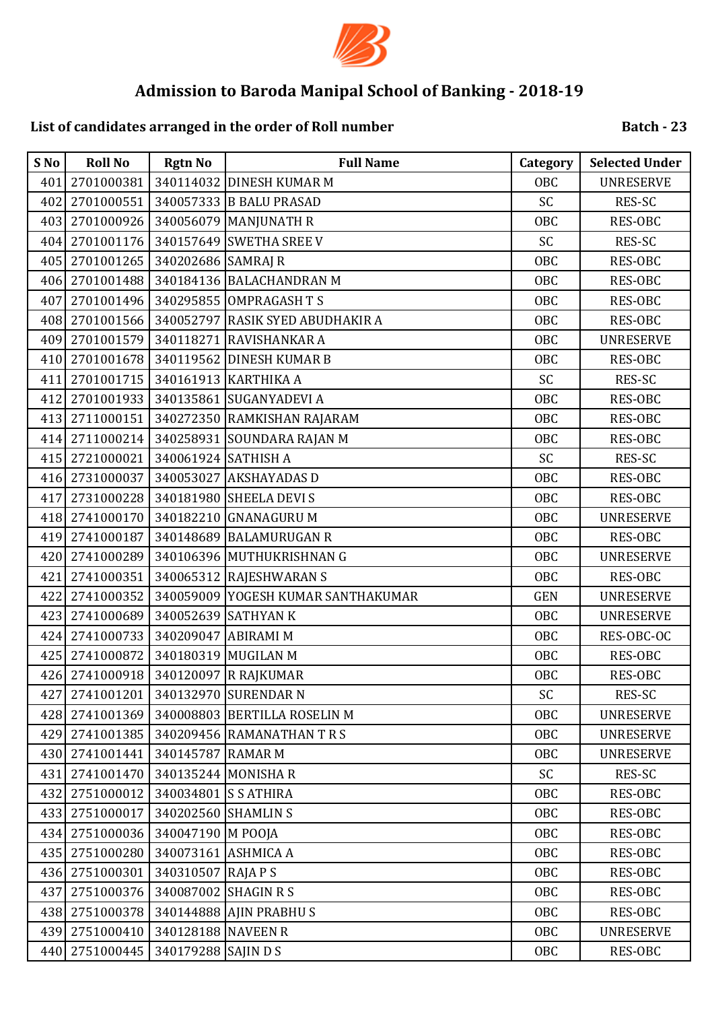

# **List of candidates arranged in the order of Roll number**

| S No | <b>Roll No</b> | <b>Rgtn No</b>       | <b>Full Name</b>                   | Category   | <b>Selected Under</b> |
|------|----------------|----------------------|------------------------------------|------------|-----------------------|
| 401  | 2701000381     |                      | 340114032 DINESH KUMAR M           | <b>OBC</b> | <b>UNRESERVE</b>      |
| 402  | 2701000551     |                      | 340057333 B BALU PRASAD            | SC         | RES-SC                |
| 403  | 2701000926     |                      | 340056079 MANJUNATH R              | OBC        | <b>RES-OBC</b>        |
| 404  | 2701001176     |                      | 340157649 SWETHA SREE V            | SC         | RES-SC                |
| 405  | 2701001265     | 340202686 SAMRAJ R   |                                    | <b>OBC</b> | <b>RES-OBC</b>        |
| 406  | 2701001488     |                      | 340184136 BALACHANDRAN M           | <b>OBC</b> | RES-OBC               |
| 407  | 2701001496     |                      | 340295855 OMPRAGASH T S            | <b>OBC</b> | RES-OBC               |
| 408  | 2701001566     |                      | 340052797 RASIK SYED ABUDHAKIR A   | <b>OBC</b> | RES-OBC               |
| 409  | 2701001579     |                      | 340118271 RAVISHANKAR A            | <b>OBC</b> | <b>UNRESERVE</b>      |
| 410  | 2701001678     |                      | 340119562 DINESH KUMAR B           | <b>OBC</b> | RES-OBC               |
| 411  | 2701001715     |                      | 340161913 KARTHIKA A               | SC         | RES-SC                |
| 412  | 2701001933     |                      | 340135861 SUGANYADEVI A            | <b>OBC</b> | <b>RES-OBC</b>        |
| 413  | 2711000151     |                      | 340272350 RAMKISHAN RAJARAM        | <b>OBC</b> | RES-OBC               |
| 414  | 2711000214     |                      | 340258931 SOUNDARA RAJAN M         | <b>OBC</b> | RES-OBC               |
| 415  | 2721000021     | 340061924 SATHISH A  |                                    | SC         | RES-SC                |
| 416  | 2731000037     |                      | 340053027 AKSHAYADAS D             | <b>OBC</b> | <b>RES-OBC</b>        |
| 417  | 2731000228     |                      | 340181980 SHEELA DEVI S            | <b>OBC</b> | RES-OBC               |
|      | 418 2741000170 |                      | 340182210 GNANAGURU M              | <b>OBC</b> | <b>UNRESERVE</b>      |
| 419  | 2741000187     |                      | 340148689 BALAMURUGAN R            | <b>OBC</b> | <b>RES-OBC</b>        |
| 420  | 2741000289     |                      | 340106396 MUTHUKRISHNAN G          | <b>OBC</b> | <b>UNRESERVE</b>      |
| 421  | 2741000351     |                      | 340065312 RAJESHWARAN S            | <b>OBC</b> | RES-OBC               |
| 422  | 2741000352     |                      | 340059009 YOGESH KUMAR SANTHAKUMAR | <b>GEN</b> | <b>UNRESERVE</b>      |
| 423  | 2741000689     |                      | 340052639 SATHYAN K                | <b>OBC</b> | <b>UNRESERVE</b>      |
| 424  | 2741000733     | 340209047 ABIRAMI M  |                                    | <b>OBC</b> | RES-OBC-OC            |
| 425  | 2741000872     |                      | 340180319 MUGILAN M                | <b>OBC</b> | RES-OBC               |
| 426  | 2741000918     |                      | 340120097 R RAJKUMAR               | <b>OBC</b> | RES-OBC               |
| 427  |                |                      | 2741001201 340132970 SURENDAR N    | SC         | RES-SC                |
| 428  | 2741001369     |                      | 340008803 BERTILLA ROSELIN M       | <b>OBC</b> | <b>UNRESERVE</b>      |
| 429  | 2741001385     |                      | 340209456 RAMANATHAN T R S         | OBC        | <b>UNRESERVE</b>      |
| 430  | 2741001441     | 340145787 RAMAR M    |                                    | OBC        | <b>UNRESERVE</b>      |
| 431  | 2741001470     |                      | 340135244 MONISHAR                 | SC         | RES-SC                |
| 432  | 2751000012     | 340034801 S S ATHIRA |                                    | OBC        | <b>RES-OBC</b>        |
| 433  | 2751000017     | 340202560 SHAMLIN S  |                                    | OBC        | RES-OBC               |
| 434  | 2751000036     | 340047190 M POOJA    |                                    | OBC        | RES-OBC               |
| 435  | 2751000280     | 340073161 ASHMICA A  |                                    | OBC        | RES-OBC               |
| 436  | 2751000301     | 340310507 RAJA P S   |                                    | <b>OBC</b> | RES-OBC               |
| 437  | 2751000376     |                      | 340087002 SHAGIN R S               | OBC        | RES-OBC               |
| 438  | 2751000378     |                      | 340144888 AJIN PRABHUS             | OBC        | RES-OBC               |
| 439  | 2751000410     | 340128188 NAVEEN R   |                                    | OBC        | <b>UNRESERVE</b>      |
| 440  | 2751000445     | 340179288 SAJIN D S  |                                    | OBC        | RES-OBC               |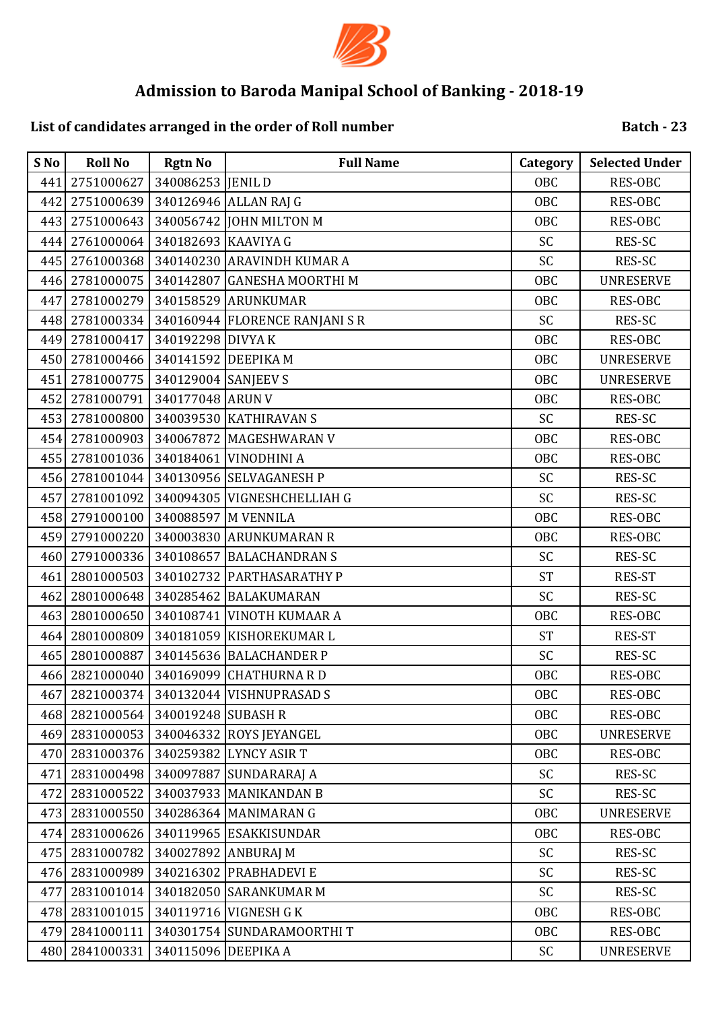

# **List of candidates arranged in the order of Roll number**

| S No | <b>Roll No</b> | <b>Rgtn No</b>      | <b>Full Name</b>              | Category   | <b>Selected Under</b> |
|------|----------------|---------------------|-------------------------------|------------|-----------------------|
| 441  | 2751000627     | 340086253 JENIL D   |                               | OBC        | RES-OBC               |
| 442  | 2751000639     |                     | 340126946 ALLAN RAJ G         | OBC        | RES-OBC               |
| 443  | 2751000643     |                     | 340056742 JOHN MILTON M       | <b>OBC</b> | RES-OBC               |
| 444  | 2761000064     | 340182693 KAAVIYA G |                               | SC         | RES-SC                |
| 445  | 2761000368     |                     | 340140230 ARAVINDH KUMAR A    | SC         | RES-SC                |
| 446  | 2781000075     |                     | 340142807 GANESHA MOORTHI M   | <b>OBC</b> | <b>UNRESERVE</b>      |
| 447  | 2781000279     |                     | 340158529 ARUNKUMAR           | <b>OBC</b> | RES-OBC               |
| 448  | 2781000334     |                     | 340160944 FLORENCE RANJANI SR | SC         | RES-SC                |
| 449  | 2781000417     | 340192298 DIVYA K   |                               | <b>OBC</b> | RES-OBC               |
| 450  | 2781000466     |                     | 340141592 DEEPIKA M           | <b>OBC</b> | <b>UNRESERVE</b>      |
| 451  | 2781000775     | 340129004 SANJEEV S |                               | <b>OBC</b> | <b>UNRESERVE</b>      |
| 452  | 2781000791     | 340177048 ARUN V    |                               | OBC        | RES-OBC               |
| 453  | 2781000800     |                     | 340039530 KATHIRAVAN S        | SC         | RES-SC                |
| 454  | 2781000903     |                     | 340067872 MAGESHWARAN V       | <b>OBC</b> | RES-OBC               |
| 455  | 2781001036     |                     | 340184061 VINODHINI A         | OBC        | RES-OBC               |
| 456  | 2781001044     |                     | 340130956 SELVAGANESH P       | SC         | RES-SC                |
| 457  | 2781001092     |                     | 340094305 VIGNESHCHELLIAH G   | SC         | RES-SC                |
| 458  | 2791000100     |                     | 340088597 M VENNILA           | <b>OBC</b> | RES-OBC               |
| 459  | 2791000220     |                     | 340003830 ARUNKUMARAN R       | <b>OBC</b> | RES-OBC               |
| 460  | 2791000336     |                     | 340108657 BALACHANDRAN S      | SC         | RES-SC                |
| 461  | 2801000503     |                     | 340102732 PARTHASARATHY P     | <b>ST</b>  | RES-ST                |
| 462  | 2801000648     |                     | 340285462 BALAKUMARAN         | SC         | RES-SC                |
| 463  | 2801000650     |                     | 340108741 VINOTH KUMAAR A     | <b>OBC</b> | RES-OBC               |
| 464  | 2801000809     |                     | 340181059 KISHOREKUMAR L      | <b>ST</b>  | RES-ST                |
| 465  | 2801000887     |                     | 340145636 BALACHANDER P       | SC         | RES-SC                |
| 466  | 2821000040     |                     | 340169099 CHATHURNA RD        | <b>OBC</b> | <b>RES-OBC</b>        |
| 467  | 2821000374     |                     | 340132044 VISHNUPRASAD S      | OBC        | RES-OBC               |
| 468  | 2821000564     | 340019248 SUBASH R  |                               | OBC        | RES-OBC               |
| 469  | 2831000053     |                     | 340046332 ROYS JEYANGEL       | OBC        | <b>UNRESERVE</b>      |
| 470  | 2831000376     |                     | 340259382 LYNCY ASIR T        | OBC        | RES-OBC               |
| 471  | 2831000498     |                     | 340097887 SUNDARARAJ A        | SC         | RES-SC                |
| 472  | 2831000522     |                     | 340037933 MANIKANDAN B        | SC         | RES-SC                |
| 473  | 2831000550     |                     | 340286364 MANIMARAN G         | OBC        | <b>UNRESERVE</b>      |
| 474  | 2831000626     |                     | 340119965 ESAKKISUNDAR        | OBC        | RES-OBC               |
| 475  | 2831000782     |                     | 340027892 ANBURAJ M           | SC         | RES-SC                |
| 476  | 2831000989     |                     | 340216302 PRABHADEVI E        | SC         | RES-SC                |
| 477  | 2831001014     |                     | 340182050 SARANKUMAR M        | SC         | RES-SC                |
| 478  | 2831001015     |                     | 340119716 VIGNESH G K         | OBC        | RES-OBC               |
| 479  | 2841000111     |                     | 340301754 SUNDARAMOORTHIT     | OBC        | RES-OBC               |
| 480  | 2841000331     | 340115096 DEEPIKA A |                               | SC         | <b>UNRESERVE</b>      |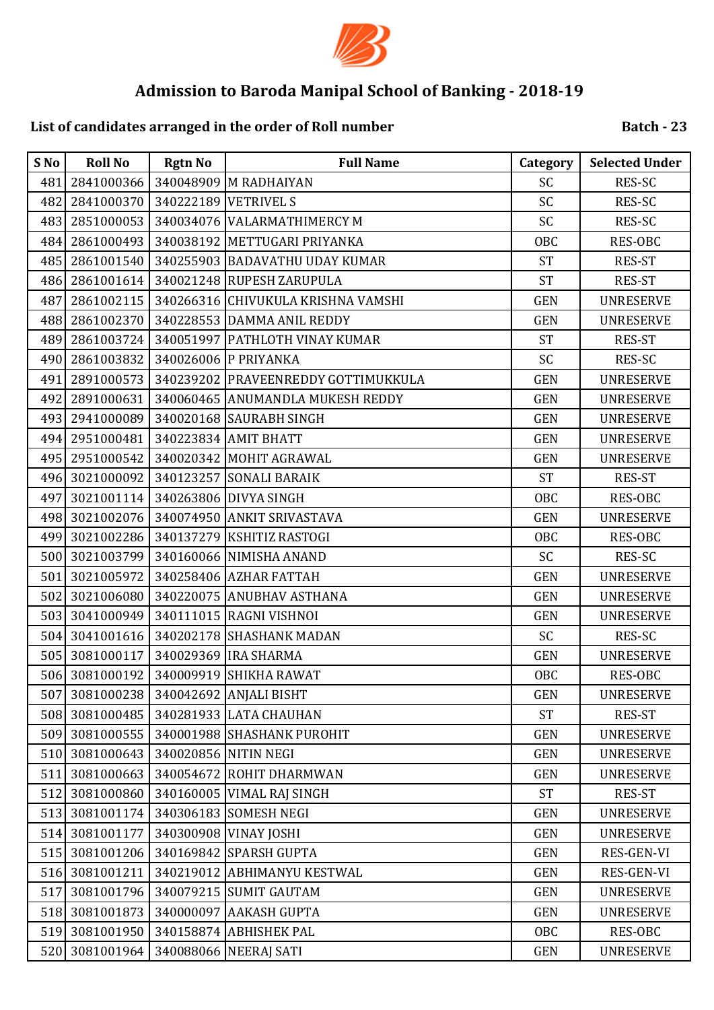

## **List of candidates arranged in the order of Roll number**

| S No | <b>Roll No</b> | <b>Rgtn No</b> | <b>Full Name</b>                    | Category   | <b>Selected Under</b> |
|------|----------------|----------------|-------------------------------------|------------|-----------------------|
| 481  | 2841000366     |                | 340048909 M RADHAIYAN               | SC         | <b>RES-SC</b>         |
| 482  | 2841000370     |                | 340222189 VETRIVEL S                | SC         | RES-SC                |
| 483  | 2851000053     |                | 340034076 VALARMATHIMERCY M         | SC         | RES-SC                |
| 484  | 2861000493     |                | 340038192 METTUGARI PRIYANKA        | <b>OBC</b> | RES-OBC               |
| 485  | 2861001540     |                | 340255903 BADAVATHU UDAY KUMAR      | <b>ST</b>  | RES-ST                |
| 486  | 2861001614     |                | 340021248 RUPESH ZARUPULA           | <b>ST</b>  | <b>RES-ST</b>         |
| 487  | 2861002115     |                | 340266316 CHIVUKULA KRISHNA VAMSHI  | <b>GEN</b> | <b>UNRESERVE</b>      |
| 488  | 2861002370     |                | 340228553 DAMMA ANIL REDDY          | <b>GEN</b> | <b>UNRESERVE</b>      |
| 489  | 2861003724     |                | 340051997 PATHLOTH VINAY KUMAR      | <b>ST</b>  | RES-ST                |
| 490  | 2861003832     |                | 340026006 P PRIYANKA                | SC         | RES-SC                |
| 491  | 2891000573     |                | 340239202 PRAVEENREDDY GOTTIMUKKULA | <b>GEN</b> | <b>UNRESERVE</b>      |
| 492  | 2891000631     |                | 340060465 ANUMANDLA MUKESH REDDY    | <b>GEN</b> | <b>UNRESERVE</b>      |
| 493  | 2941000089     |                | 340020168 SAURABH SINGH             | <b>GEN</b> | <b>UNRESERVE</b>      |
| 494  | 2951000481     |                | 340223834 AMIT BHATT                | <b>GEN</b> | <b>UNRESERVE</b>      |
| 495  | 2951000542     |                | 340020342 MOHIT AGRAWAL             | <b>GEN</b> | <b>UNRESERVE</b>      |
| 496  | 3021000092     |                | 340123257 SONALI BARAIK             | <b>ST</b>  | RES-ST                |
| 497  | 3021001114     |                | 340263806 DIVYA SINGH               | <b>OBC</b> | RES-OBC               |
| 498  | 3021002076     |                | 340074950 ANKIT SRIVASTAVA          | <b>GEN</b> | <b>UNRESERVE</b>      |
| 499  | 3021002286     |                | 340137279 KSHITIZ RASTOGI           | OBC        | RES-OBC               |
| 500  | 3021003799     |                | 340160066 NIMISHA ANAND             | SC         | RES-SC                |
| 501  | 3021005972     |                | 340258406 AZHAR FATTAH              | <b>GEN</b> | <b>UNRESERVE</b>      |
| 502  | 3021006080     |                | 340220075 ANUBHAV ASTHANA           | <b>GEN</b> | <b>UNRESERVE</b>      |
| 503  | 3041000949     |                | 340111015 RAGNI VISHNOI             | <b>GEN</b> | <b>UNRESERVE</b>      |
| 504  | 3041001616     |                | 340202178 SHASHANK MADAN            | SC         | RES-SC                |
| 505  | 3081000117     |                | 340029369 IRA SHARMA                | <b>GEN</b> | <b>UNRESERVE</b>      |
| 506  | 3081000192     |                | 340009919 SHIKHA RAWAT              | OBC        | RES-OBC               |
| 507  | 3081000238     |                | 340042692 ANJALI BISHT              | <b>GEN</b> | <b>UNRESERVE</b>      |
| 508  | 3081000485     |                | 340281933 LATA CHAUHAN              | <b>ST</b>  | RES-ST                |
| 509  | 3081000555     |                | 340001988 SHASHANK PUROHIT          | <b>GEN</b> | <b>UNRESERVE</b>      |
| 510  | 3081000643     |                | 340020856 NITIN NEGI                | <b>GEN</b> | <b>UNRESERVE</b>      |
| 511  | 3081000663     |                | 340054672 ROHIT DHARMWAN            | <b>GEN</b> | <b>UNRESERVE</b>      |
| 512  | 3081000860     | 340160005      | <b>VIMAL RAJ SINGH</b>              | <b>ST</b>  | RES-ST                |
| 513  | 3081001174     |                | 340306183 SOMESH NEGI               | <b>GEN</b> | <b>UNRESERVE</b>      |
| 514  | 3081001177     |                | 340300908 VINAY JOSHI               | <b>GEN</b> | <b>UNRESERVE</b>      |
| 515  | 3081001206     |                | 340169842 SPARSH GUPTA              | <b>GEN</b> | RES-GEN-VI            |
| 516  | 3081001211     |                | 340219012 ABHIMANYU KESTWAL         | <b>GEN</b> | RES-GEN-VI            |
| 517  | 3081001796     |                | 340079215 SUMIT GAUTAM              | <b>GEN</b> | <b>UNRESERVE</b>      |
| 518  | 3081001873     |                | 340000097 AAKASH GUPTA              | <b>GEN</b> | <b>UNRESERVE</b>      |
| 519  | 3081001950     |                | 340158874 ABHISHEK PAL              | <b>OBC</b> | RES-OBC               |
| 520  | 3081001964     |                | 340088066 NEERAJ SATI               | <b>GEN</b> | <b>UNRESERVE</b>      |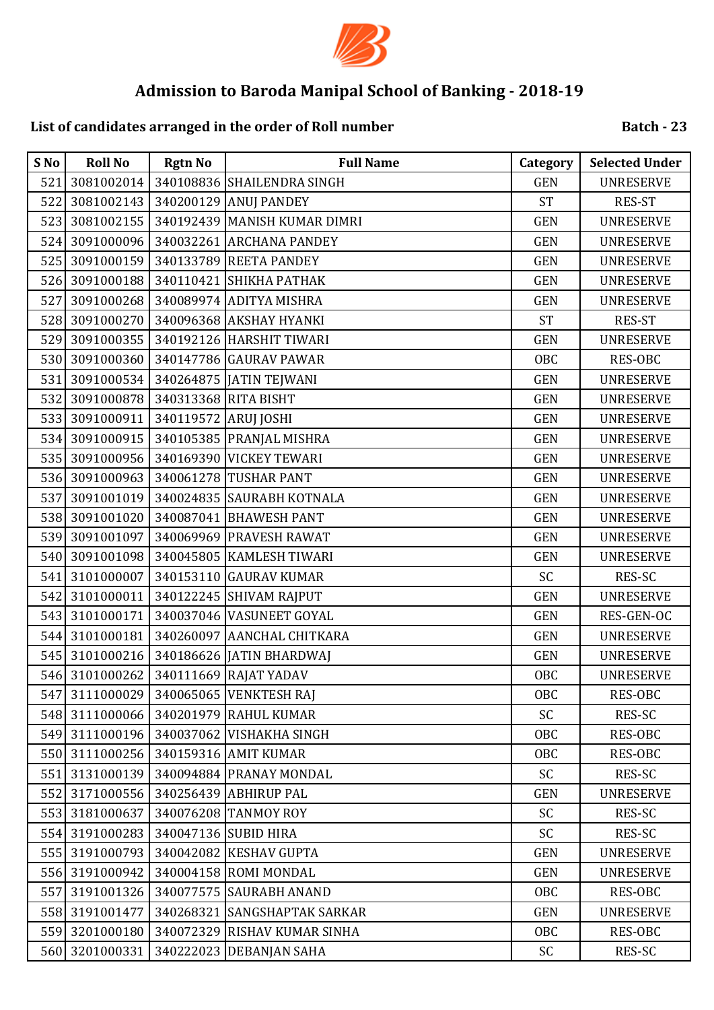

## **List of candidates arranged in the order of Roll number**

| S No | <b>Roll No</b> | <b>Rgtn No</b>       | <b>Full Name</b>             | Category   | <b>Selected Under</b> |
|------|----------------|----------------------|------------------------------|------------|-----------------------|
| 521  | 3081002014     |                      | 340108836 SHAILENDRA SINGH   | <b>GEN</b> | <b>UNRESERVE</b>      |
| 522  | 3081002143     |                      | 340200129 ANUJ PANDEY        | <b>ST</b>  | <b>RES-ST</b>         |
| 523  | 3081002155     |                      | 340192439 MANISH KUMAR DIMRI | <b>GEN</b> | <b>UNRESERVE</b>      |
| 524  | 3091000096     |                      | 340032261 ARCHANA PANDEY     | <b>GEN</b> | <b>UNRESERVE</b>      |
| 525  | 3091000159     |                      | 340133789 REETA PANDEY       | <b>GEN</b> | <b>UNRESERVE</b>      |
| 526  | 3091000188     |                      | 340110421 SHIKHA PATHAK      | <b>GEN</b> | <b>UNRESERVE</b>      |
| 527  | 3091000268     |                      | 340089974 ADITYA MISHRA      | <b>GEN</b> | <b>UNRESERVE</b>      |
| 528  | 3091000270     |                      | 340096368 AKSHAY HYANKI      | <b>ST</b>  | RES-ST                |
| 529  | 3091000355     |                      | 340192126 HARSHIT TIWARI     | <b>GEN</b> | <b>UNRESERVE</b>      |
| 530  | 3091000360     |                      | 340147786 GAURAV PAWAR       | OBC        | RES-OBC               |
| 531  | 3091000534     |                      | 340264875 JATIN TEJWANI      | <b>GEN</b> | <b>UNRESERVE</b>      |
| 532  | 3091000878     |                      | 340313368 RITA BISHT         | <b>GEN</b> | <b>UNRESERVE</b>      |
| 533  | 3091000911     | 340119572 ARUJ JOSHI |                              | <b>GEN</b> | <b>UNRESERVE</b>      |
| 534  | 3091000915     |                      | 340105385 PRANJAL MISHRA     | <b>GEN</b> | <b>UNRESERVE</b>      |
| 535  | 3091000956     |                      | 340169390 VICKEY TEWARI      | <b>GEN</b> | <b>UNRESERVE</b>      |
| 536  | 3091000963     |                      | 340061278 TUSHAR PANT        | <b>GEN</b> | <b>UNRESERVE</b>      |
| 537  | 3091001019     |                      | 340024835 SAURABH KOTNALA    | <b>GEN</b> | <b>UNRESERVE</b>      |
| 538  | 3091001020     |                      | 340087041 BHAWESH PANT       | <b>GEN</b> | <b>UNRESERVE</b>      |
| 539  | 3091001097     |                      | 340069969 PRAVESH RAWAT      | <b>GEN</b> | <b>UNRESERVE</b>      |
| 540  | 3091001098     |                      | 340045805 KAMLESH TIWARI     | <b>GEN</b> | <b>UNRESERVE</b>      |
| 541  | 3101000007     |                      | 340153110 GAURAV KUMAR       | SC         | RES-SC                |
| 542  | 3101000011     |                      | 340122245 SHIVAM RAJPUT      | <b>GEN</b> | <b>UNRESERVE</b>      |
| 543  | 3101000171     |                      | 340037046 VASUNEET GOYAL     | <b>GEN</b> | RES-GEN-OC            |
| 544  | 3101000181     |                      | 340260097 AANCHAL CHITKARA   | <b>GEN</b> | <b>UNRESERVE</b>      |
| 545  | 3101000216     |                      | 340186626 JATIN BHARDWAJ     | <b>GEN</b> | <b>UNRESERVE</b>      |
| 546  | 3101000262     |                      | 340111669 RAJAT YADAV        | <b>OBC</b> | <b>UNRESERVE</b>      |
| 547  | 3111000029     |                      | 340065065 VENKTESH RAJ       | OBC        | RES-OBC               |
| 548  | 3111000066     |                      | 340201979 RAHUL KUMAR        | SC         | RES-SC                |
| 549  | 3111000196     | 340037062            | VISHAKHA SINGH               | OBC        | <b>RES-OBC</b>        |
| 550  | 3111000256     |                      | 340159316 AMIT KUMAR         | OBC        | RES-OBC               |
| 551  | 3131000139     |                      | 340094884 PRANAY MONDAL      | SC         | RES-SC                |
| 552  | 3171000556     |                      | 340256439 ABHIRUP PAL        | <b>GEN</b> | <b>UNRESERVE</b>      |
| 553  | 3181000637     |                      | 340076208 TANMOY ROY         | <b>SC</b>  | RES-SC                |
| 554  | 3191000283     |                      | 340047136 SUBID HIRA         | <b>SC</b>  | RES-SC                |
| 555  | 3191000793     |                      | 340042082 KESHAV GUPTA       | <b>GEN</b> | <b>UNRESERVE</b>      |
| 556  | 3191000942     |                      | 340004158 ROMI MONDAL        | <b>GEN</b> | <b>UNRESERVE</b>      |
| 557  | 3191001326     |                      | 340077575 SAURABH ANAND      | OBC        | RES-OBC               |
| 558  | 3191001477     |                      | 340268321 SANGSHAPTAK SARKAR | <b>GEN</b> | <b>UNRESERVE</b>      |
| 559  | 3201000180     |                      | 340072329 RISHAV KUMAR SINHA | OBC        | RES-OBC               |
|      | 560 3201000331 |                      | 340222023 DEBANJAN SAHA      | SC         | RES-SC                |